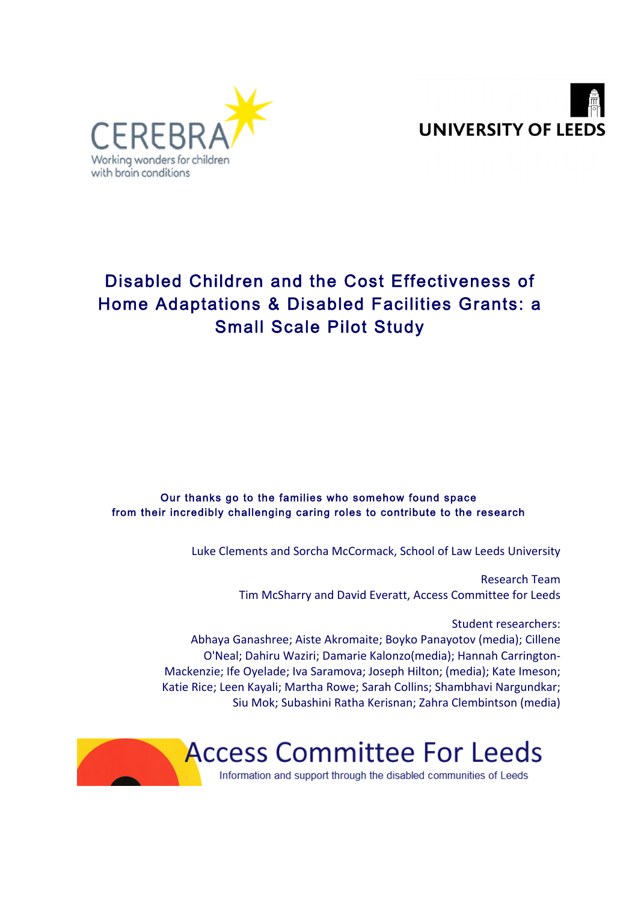



# Disabled Children and the Cost Effectiveness of Home Adaptations & Disabled Facilities Grants: a Small Scale Pilot Study

Our thanks go to the families who somehow found space from their incredibly challenging caring roles to contribute to the research

Luke Clements and Sorcha McCormack, School of Law Leeds University

Research Team Tim McSharry and David Everatt, Access Committee for Leeds

Student researchers: Abhaya Ganashree; Aiste Akromaite; Boyko Panayotov (media); Cillene O'Neal; Dahiru Waziri; Damarie Kalonzo(media); Hannah Carrington-

Mackenzie; Ife Oyelade; Iva Saramova; Joseph Hilton; (media); Kate Imeson; Katie Rice: Leen Kayali: Martha Rowe: Sarah Collins: Shambhavi Nargundkar: Siu Mok; Subashini Ratha Kerisnan; Zahra Clembintson (media)

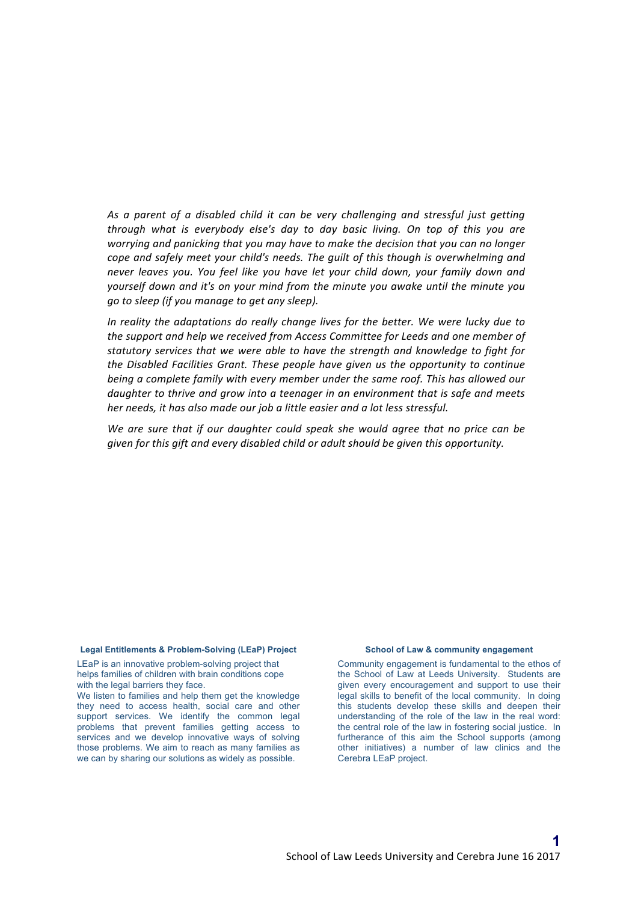As a parent of a disabled child it can be very challenging and stressful just getting *through* what is everybody else's day to day basic living. On top of this you are *worrying and panicking that you may have to make the decision that you can no longer cope* and safely meet your child's needs. The quilt of this though is overwhelming and never leaves you. You feel like you have let your child down, your family down and *yourself down and it's on your mind from the minute you awake until the minute you go to sleep (if you manage to get any sleep).* 

*In reality the adaptations do really change lives for the better. We were lucky due to the support and help we received from Access Committee for Leeds and one member of* statutory services that we were able to have the strength and knowledge to fight for *the Disabled Facilities Grant. These people have given us the opportunity to continue being a complete family with every member under the same roof. This has allowed our* daughter to thrive and grow into a teenager in an environment that is safe and meets *her needs, it has also made our job a little easier and a lot less stressful.* 

We are sure that if our daughter could speak she would agree that no price can be *given for this gift and every disabled child or adult should be given this opportunity.* 

#### **Legal Entitlements & Problem-Solving (LEaP) Project**

LEaP is an innovative problem-solving project that helps families of children with brain conditions cope with the legal barriers they face.

We listen to families and help them get the knowledge they need to access health, social care and other support services. We identify the common legal problems that prevent families getting access to services and we develop innovative ways of solving those problems. We aim to reach as many families as we can by sharing our solutions as widely as possible.

#### **School of Law & community engagement**

Community engagement is fundamental to the ethos of the School of Law at Leeds University. Students are given every encouragement and support to use their legal skills to benefit of the local community. In doing this students develop these skills and deepen their understanding of the role of the law in the real word: the central role of the law in fostering social justice. In furtherance of this aim the School supports (among other initiatives) a number of law clinics and the Cerebra LEaP project.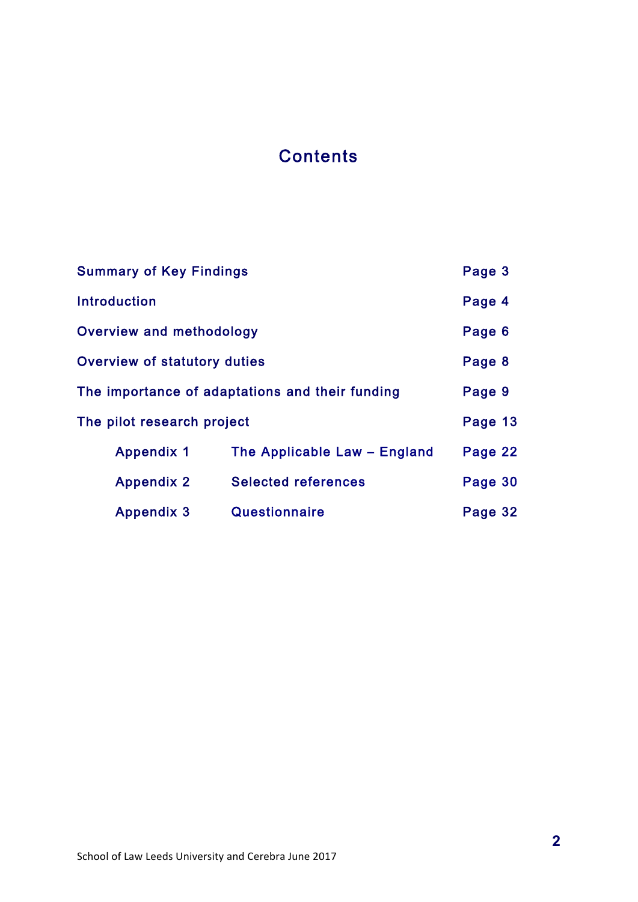# **Contents**

| <b>Summary of Key Findings</b>                  | Page 3                       |         |
|-------------------------------------------------|------------------------------|---------|
| <b>Introduction</b>                             | Page 4                       |         |
| Overview and methodology                        | Page 6                       |         |
| <b>Overview of statutory duties</b>             |                              | Page 8  |
| The importance of adaptations and their funding | Page 9                       |         |
| The pilot research project                      | Page 13                      |         |
| <b>Appendix 1</b>                               | The Applicable Law - England | Page 22 |
| <b>Appendix 2</b>                               | <b>Selected references</b>   | Page 30 |
| <b>Appendix 3</b>                               | Questionnaire                | Page 32 |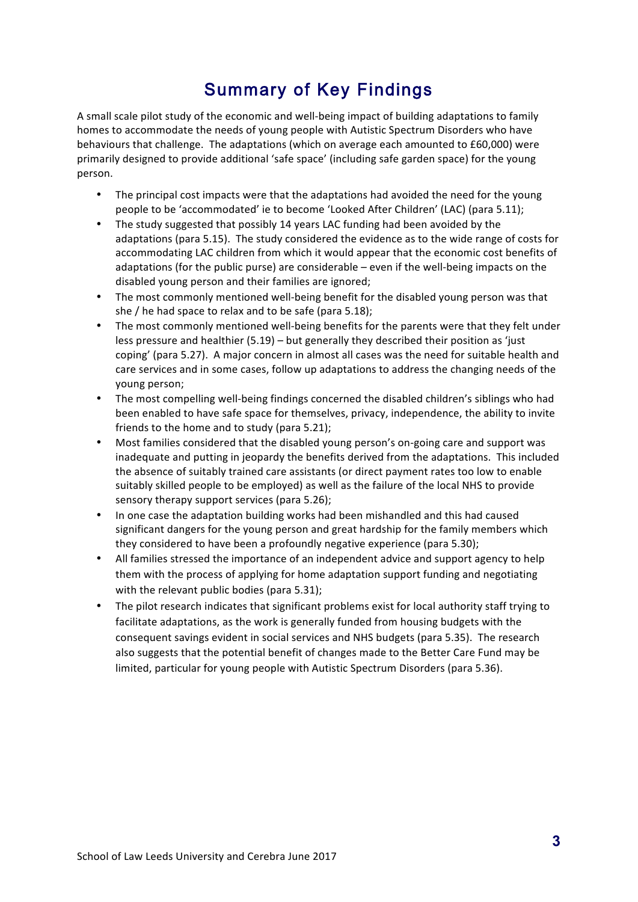# Summary of Key Findings

A small scale pilot study of the economic and well-being impact of building adaptations to family homes to accommodate the needs of young people with Autistic Spectrum Disorders who have behaviours that challenge. The adaptations (which on average each amounted to £60,000) were primarily designed to provide additional 'safe space' (including safe garden space) for the young person.

- The principal cost impacts were that the adaptations had avoided the need for the young people to be 'accommodated' ie to become 'Looked After Children' (LAC) (para 5.11);
- The study suggested that possibly 14 years LAC funding had been avoided by the adaptations (para 5.15). The study considered the evidence as to the wide range of costs for accommodating LAC children from which it would appear that the economic cost benefits of adaptations (for the public purse) are considerable  $-$  even if the well-being impacts on the disabled young person and their families are ignored;
- The most commonly mentioned well-being benefit for the disabled young person was that she  $/$  he had space to relax and to be safe (para 5.18);
- The most commonly mentioned well-being benefits for the parents were that they felt under less pressure and healthier  $(5.19)$  – but generally they described their position as 'just coping' (para 5.27). A major concern in almost all cases was the need for suitable health and care services and in some cases, follow up adaptations to address the changing needs of the young person;
- The most compelling well-being findings concerned the disabled children's siblings who had been enabled to have safe space for themselves, privacy, independence, the ability to invite friends to the home and to study (para 5.21);
- Most families considered that the disabled young person's on-going care and support was inadequate and putting in jeopardy the benefits derived from the adaptations. This included the absence of suitably trained care assistants (or direct payment rates too low to enable suitably skilled people to be employed) as well as the failure of the local NHS to provide sensory therapy support services (para 5.26);
- In one case the adaptation building works had been mishandled and this had caused significant dangers for the young person and great hardship for the family members which they considered to have been a profoundly negative experience (para 5.30);
- All families stressed the importance of an independent advice and support agency to help them with the process of applying for home adaptation support funding and negotiating with the relevant public bodies (para 5.31);
- The pilot research indicates that significant problems exist for local authority staff trying to facilitate adaptations, as the work is generally funded from housing budgets with the consequent savings evident in social services and NHS budgets (para 5.35). The research also suggests that the potential benefit of changes made to the Better Care Fund may be limited, particular for young people with Autistic Spectrum Disorders (para 5.36).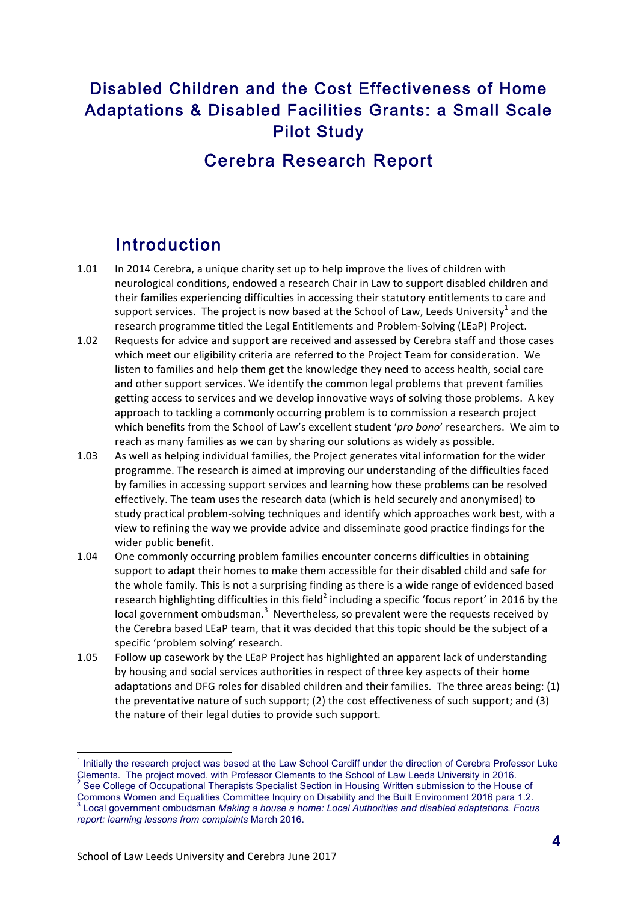# Disabled Children and the Cost Effectiveness of Home Adaptations & Disabled Facilities Grants: a Small Scale Pilot Study

# Cerebra Research Report

# Introduction

- 1.01 In 2014 Cerebra, a unique charity set up to help improve the lives of children with neurological conditions, endowed a research Chair in Law to support disabled children and their families experiencing difficulties in accessing their statutory entitlements to care and support services. The project is now based at the School of Law, Leeds University<sup>1</sup> and the research programme titled the Legal Entitlements and Problem-Solving (LEaP) Project.
- 1.02 Requests for advice and support are received and assessed by Cerebra staff and those cases which meet our eligibility criteria are referred to the Project Team for consideration. We listen to families and help them get the knowledge they need to access health, social care and other support services. We identify the common legal problems that prevent families getting access to services and we develop innovative ways of solving those problems. A key approach to tackling a commonly occurring problem is to commission a research project which benefits from the School of Law's excellent student 'pro bono' researchers. We aim to reach as many families as we can by sharing our solutions as widely as possible.
- 1.03 As well as helping individual families, the Project generates vital information for the wider programme. The research is aimed at improving our understanding of the difficulties faced by families in accessing support services and learning how these problems can be resolved effectively. The team uses the research data (which is held securely and anonymised) to study practical problem-solving techniques and identify which approaches work best, with a view to refining the way we provide advice and disseminate good practice findings for the wider public benefit.
- 1.04 One commonly occurring problem families encounter concerns difficulties in obtaining support to adapt their homes to make them accessible for their disabled child and safe for the whole family. This is not a surprising finding as there is a wide range of evidenced based research highlighting difficulties in this field<sup>2</sup> including a specific 'focus report' in 2016 by the local government ombudsman. $3$  Nevertheless, so prevalent were the requests received by the Cerebra based LEaP team, that it was decided that this topic should be the subject of a specific 'problem solving' research.
- 1.05 Follow up casework by the LEaP Project has highlighted an apparent lack of understanding by housing and social services authorities in respect of three key aspects of their home adaptations and DFG roles for disabled children and their families. The three areas being: (1) the preventative nature of such support;  $(2)$  the cost effectiveness of such support; and  $(3)$ the nature of their legal duties to provide such support.

 $1$  Initially the research project was based at the Law School Cardiff under the direction of Cerebra Professor Luke Clements. The project moved, with Professor Clements to the School of Law Leeds University in 2016.  $2$  See College of Occupational Therapists Specialist Section in Housing Written submission to the House of Commons Women and Equalities Committee Inquiry on Disability and the Built Environment 2016 para 1.2. <sup>3</sup> Local government ombudsman *Making a house a home: Local Authorities and disabled adaptations. Focus* 

*report: learning lessons from complaints* March 2016.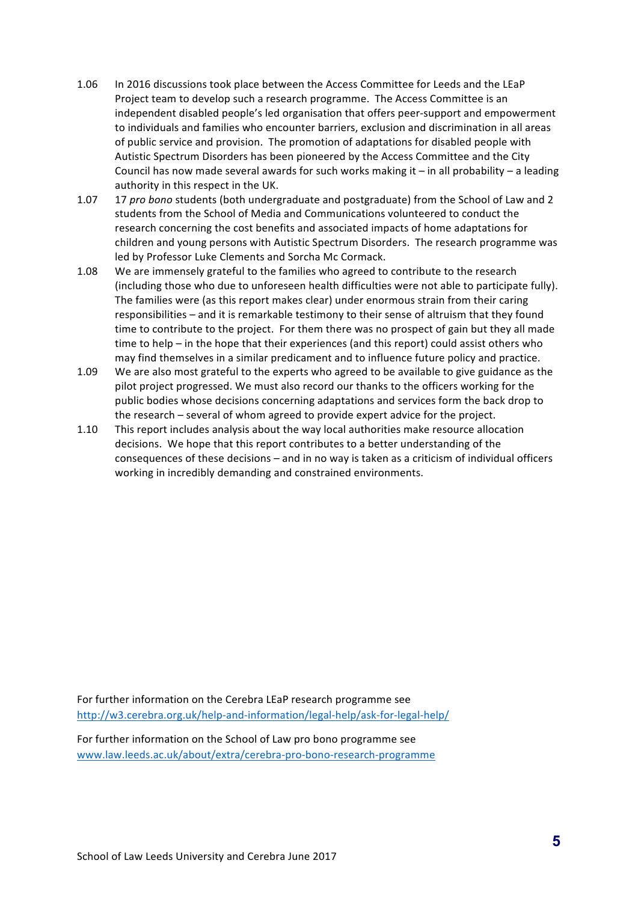- 1.06 In 2016 discussions took place between the Access Committee for Leeds and the LEaP Project team to develop such a research programme. The Access Committee is an independent disabled people's led organisation that offers peer-support and empowerment to individuals and families who encounter barriers, exclusion and discrimination in all areas of public service and provision. The promotion of adaptations for disabled people with Autistic Spectrum Disorders has been pioneered by the Access Committee and the City Council has now made several awards for such works making it – in all probability – a leading authority in this respect in the UK.
- 1.07 17 *pro bono* students (both undergraduate and postgraduate) from the School of Law and 2 students from the School of Media and Communications volunteered to conduct the research concerning the cost benefits and associated impacts of home adaptations for children and young persons with Autistic Spectrum Disorders. The research programme was led by Professor Luke Clements and Sorcha Mc Cormack.
- 1.08 We are immensely grateful to the families who agreed to contribute to the research (including those who due to unforeseen health difficulties were not able to participate fully). The families were (as this report makes clear) under enormous strain from their caring responsibilities - and it is remarkable testimony to their sense of altruism that they found time to contribute to the project. For them there was no prospect of gain but they all made time to help – in the hope that their experiences (and this report) could assist others who may find themselves in a similar predicament and to influence future policy and practice.
- 1.09 We are also most grateful to the experts who agreed to be available to give guidance as the pilot project progressed. We must also record our thanks to the officers working for the public bodies whose decisions concerning adaptations and services form the back drop to the research - several of whom agreed to provide expert advice for the project.
- 1.10 This report includes analysis about the way local authorities make resource allocation decisions. We hope that this report contributes to a better understanding of the consequences of these decisions – and in no way is taken as a criticism of individual officers working in incredibly demanding and constrained environments.

For further information on the Cerebra LEaP research programme see http://w3.cerebra.org.uk/help-and-information/legal-help/ask-for-legal-help/

For further information on the School of Law pro bono programme see www.law.leeds.ac.uk/about/extra/cerebra-pro-bono-research-programme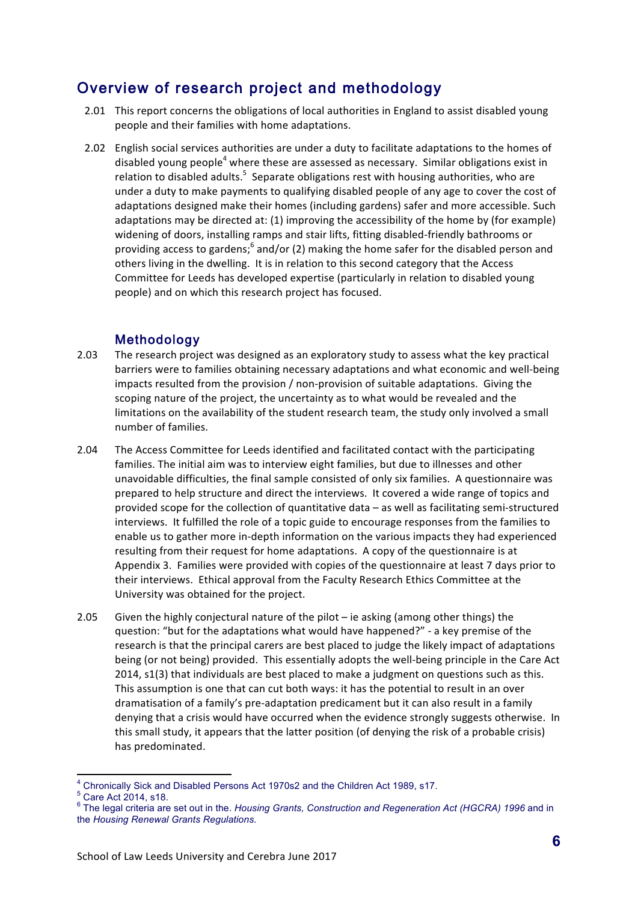# Overview of research project and methodology

- 2.01 This report concerns the obligations of local authorities in England to assist disabled young people and their families with home adaptations.
- 2.02 English social services authorities are under a duty to facilitate adaptations to the homes of disabled young people<sup>4</sup> where these are assessed as necessary. Similar obligations exist in relation to disabled adults.<sup>5</sup> Separate obligations rest with housing authorities, who are under a duty to make payments to qualifying disabled people of any age to cover the cost of adaptations designed make their homes (including gardens) safer and more accessible. Such adaptations may be directed at: (1) improving the accessibility of the home by (for example) widening of doors, installing ramps and stair lifts, fitting disabled-friendly bathrooms or providing access to gardens;<sup>6</sup> and/or (2) making the home safer for the disabled person and others living in the dwelling. It is in relation to this second category that the Access Committee for Leeds has developed expertise (particularly in relation to disabled young people) and on which this research project has focused.

## Methodology

- 2.03 The research project was designed as an exploratory study to assess what the key practical barriers were to families obtaining necessary adaptations and what economic and well-being impacts resulted from the provision / non-provision of suitable adaptations. Giving the scoping nature of the project, the uncertainty as to what would be revealed and the limitations on the availability of the student research team, the study only involved a small number of families.
- 2.04 The Access Committee for Leeds identified and facilitated contact with the participating families. The initial aim was to interview eight families, but due to illnesses and other unavoidable difficulties, the final sample consisted of only six families. A questionnaire was prepared to help structure and direct the interviews. It covered a wide range of topics and provided scope for the collection of quantitative data  $-$  as well as facilitating semi-structured interviews. It fulfilled the role of a topic guide to encourage responses from the families to enable us to gather more in-depth information on the various impacts they had experienced resulting from their request for home adaptations. A copy of the questionnaire is at Appendix 3. Families were provided with copies of the questionnaire at least 7 days prior to their interviews. Ethical approval from the Faculty Research Ethics Committee at the University was obtained for the project.
- 2.05 Given the highly conjectural nature of the pilot ie asking (among other things) the question: "but for the adaptations what would have happened?" - a key premise of the research is that the principal carers are best placed to judge the likely impact of adaptations being (or not being) provided. This essentially adopts the well-being principle in the Care Act  $2014$ ,  $s1(3)$  that individuals are best placed to make a judgment on questions such as this. This assumption is one that can cut both ways: it has the potential to result in an over dramatisation of a family's pre-adaptation predicament but it can also result in a family denying that a crisis would have occurred when the evidence strongly suggests otherwise. In this small study, it appears that the latter position (of denying the risk of a probable crisis) has predominated.

 $^4$  Chronically Sick and Disabled Persons Act 1970s2 and the Children Act 1989, s17.<br> $^5$  Care Act 2014, s18.

<sup>5</sup> Care Act 2014, s18. <sup>6</sup> The legal criteria are set out in the. *Housing Grants, Construction and Regeneration Act (HGCRA) 1996* and in the *Housing Renewal Grants Regulations*.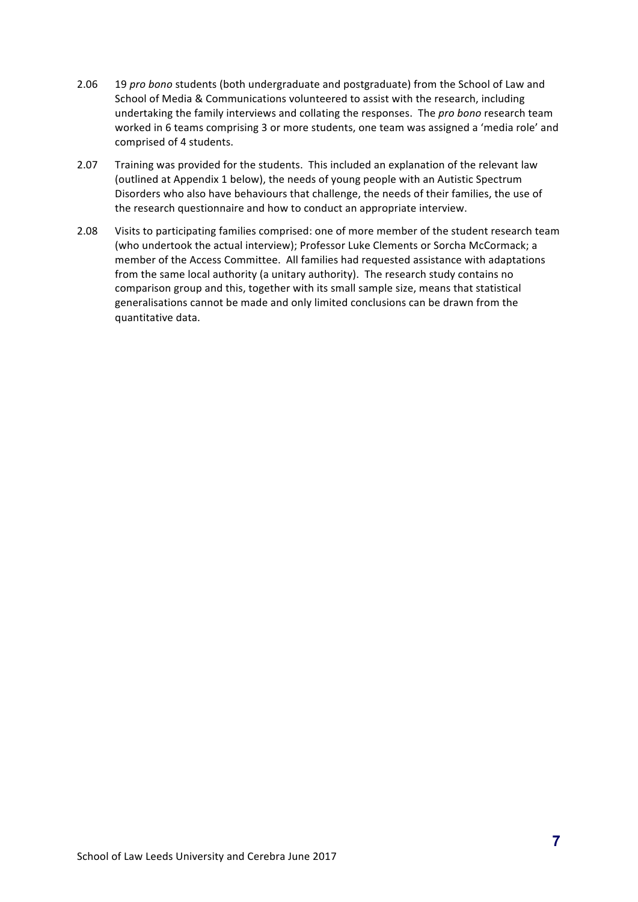- 2.06 19 *pro bono* students (both undergraduate and postgraduate) from the School of Law and School of Media & Communications volunteered to assist with the research, including undertaking the family interviews and collating the responses. The pro bono research team worked in 6 teams comprising 3 or more students, one team was assigned a 'media role' and comprised of 4 students.
- 2.07 Training was provided for the students. This included an explanation of the relevant law (outlined at Appendix 1 below), the needs of young people with an Autistic Spectrum Disorders who also have behaviours that challenge, the needs of their families, the use of the research questionnaire and how to conduct an appropriate interview.
- 2.08 Visits to participating families comprised: one of more member of the student research team (who undertook the actual interview); Professor Luke Clements or Sorcha McCormack; a member of the Access Committee. All families had requested assistance with adaptations from the same local authority (a unitary authority). The research study contains no comparison group and this, together with its small sample size, means that statistical generalisations cannot be made and only limited conclusions can be drawn from the quantitative data.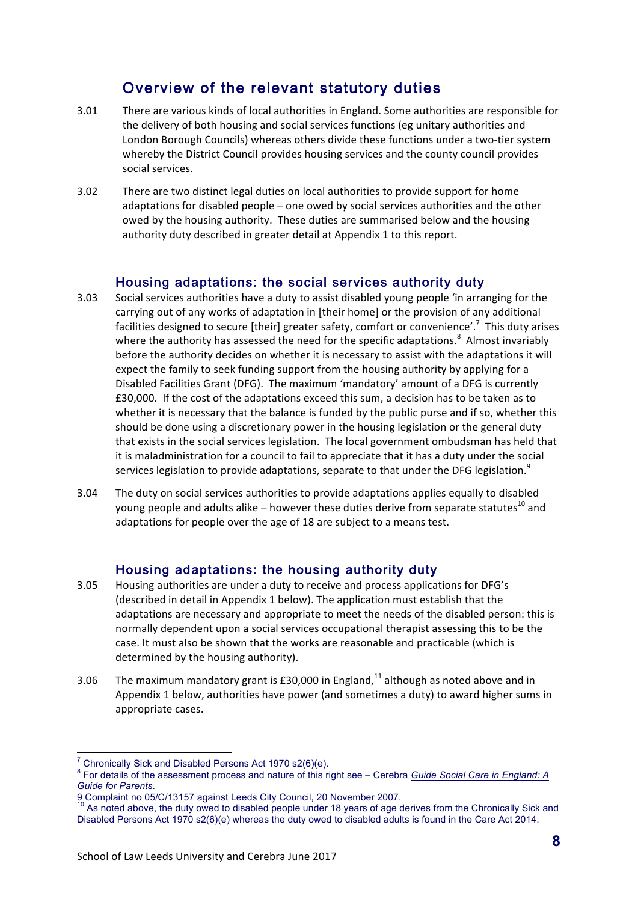# Overview of the relevant statutory duties

- 3.01 There are various kinds of local authorities in England. Some authorities are responsible for the delivery of both housing and social services functions (eg unitary authorities and London Borough Councils) whereas others divide these functions under a two-tier system whereby the District Council provides housing services and the county council provides social services.
- 3.02 There are two distinct legal duties on local authorities to provide support for home adaptations for disabled people  $-$  one owed by social services authorities and the other owed by the housing authority. These duties are summarised below and the housing authority duty described in greater detail at Appendix 1 to this report.

### Housing adaptations: the social services authority duty

- 3.03 Social services authorities have a duty to assist disabled young people 'in arranging for the carrying out of any works of adaptation in [their home] or the provision of any additional facilities designed to secure [their] greater safety, comfort or convenience'.<sup>7</sup> This duty arises where the authority has assessed the need for the specific adaptations.<sup>8</sup> Almost invariably before the authority decides on whether it is necessary to assist with the adaptations it will expect the family to seek funding support from the housing authority by applying for a Disabled Facilities Grant (DFG). The maximum 'mandatory' amount of a DFG is currently £30,000. If the cost of the adaptations exceed this sum, a decision has to be taken as to whether it is necessary that the balance is funded by the public purse and if so, whether this should be done using a discretionary power in the housing legislation or the general duty that exists in the social services legislation. The local government ombudsman has held that it is maladministration for a council to fail to appreciate that it has a duty under the social services legislation to provide adaptations, separate to that under the DFG legislation.<sup>9</sup>
- 3.04 The duty on social services authorities to provide adaptations applies equally to disabled young people and adults alike – however these duties derive from separate statutes<sup>10</sup> and adaptations for people over the age of 18 are subject to a means test.

## Housing adaptations: the housing authority duty

- 3.05 Housing authorities are under a duty to receive and process applications for DFG's (described in detail in Appendix 1 below). The application must establish that the adaptations are necessary and appropriate to meet the needs of the disabled person: this is normally dependent upon a social services occupational therapist assessing this to be the case. It must also be shown that the works are reasonable and practicable (which is determined by the housing authority).
- 3.06 The maximum mandatory grant is £30,000 in England,<sup>11</sup> although as noted above and in Appendix 1 below, authorities have power (and sometimes a duty) to award higher sums in appropriate cases.

<sup>&</sup>lt;sup>7</sup> Chronically Sick and Disabled Persons Act 1970 s2(6)(e).<br><sup>8</sup> For details of the assessment process and nature of this right see – Cerebra *Guide Social Care in England: A* Guide for Parents.<br>
9 Complaint no 05/C/13157 against Leeds City Council, 20 November 2007.

As noted above, the duty owed to disabled people under 18 years of age derives from the Chronically Sick and Disabled Persons Act 1970 s2(6)(e) whereas the duty owed to disabled adults is found in the Care Act 2014.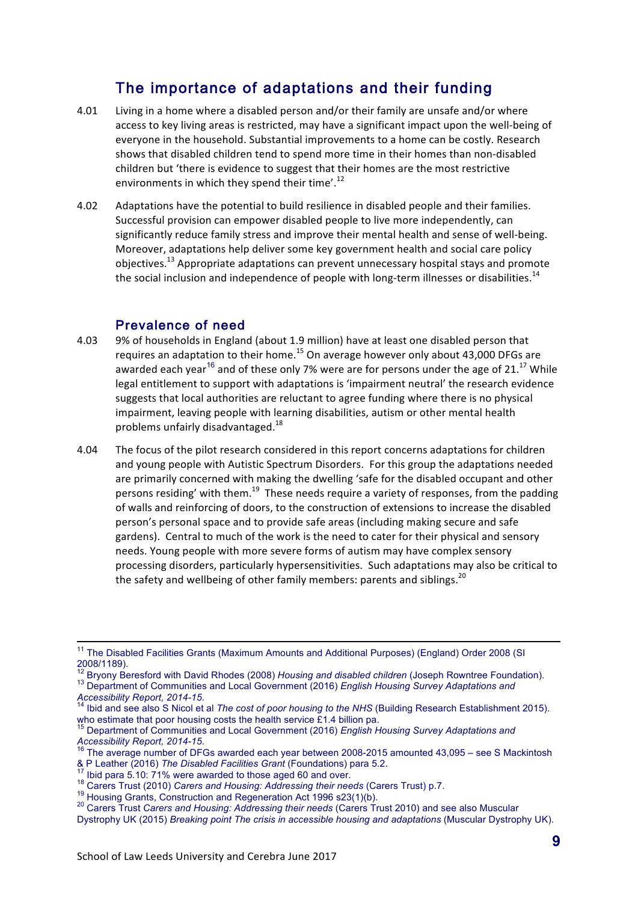# The importance of adaptations and their funding

- 4.01 Living in a home where a disabled person and/or their family are unsafe and/or where access to key living areas is restricted, may have a significant impact upon the well-being of everyone in the household. Substantial improvements to a home can be costly. Research shows that disabled children tend to spend more time in their homes than non-disabled children but 'there is evidence to suggest that their homes are the most restrictive environments in which they spend their time'.<sup>12</sup>
- 4.02 Adaptations have the potential to build resilience in disabled people and their families. Successful provision can empower disabled people to live more independently, can significantly reduce family stress and improve their mental health and sense of well-being. Moreover, adaptations help deliver some key government health and social care policy objectives.<sup>13</sup> Appropriate adaptations can prevent unnecessary hospital stays and promote the social inclusion and independence of people with long-term illnesses or disabilities.<sup>14</sup>

### Prevalence of need

- 4.03 9% of households in England (about 1.9 million) have at least one disabled person that requires an adaptation to their home.<sup>15</sup> On average however only about 43,000 DFGs are awarded each year<sup>16</sup> and of these only 7% were are for persons under the age of 21.<sup>17</sup> While legal entitlement to support with adaptations is 'impairment neutral' the research evidence suggests that local authorities are reluctant to agree funding where there is no physical impairment, leaving people with learning disabilities, autism or other mental health problems unfairly disadvantaged.<sup>18</sup>
- 4.04 The focus of the pilot research considered in this report concerns adaptations for children and young people with Autistic Spectrum Disorders. For this group the adaptations needed are primarily concerned with making the dwelling 'safe for the disabled occupant and other persons residing' with them.<sup>19</sup> These needs require a variety of responses, from the padding of walls and reinforcing of doors, to the construction of extensions to increase the disabled person's personal space and to provide safe areas (including making secure and safe gardens). Central to much of the work is the need to cater for their physical and sensory needs. Young people with more severe forms of autism may have complex sensory processing disorders, particularly hypersensitivities. Such adaptations may also be critical to the safety and wellbeing of other family members: parents and siblings.<sup>20</sup>

<sup>&</sup>lt;sup>11</sup> The Disabled Facilities Grants (Maximum Amounts and Additional Purposes) (England) Order 2008 (SI 2008/1189).<br><sup>12</sup> Bryony Beresford with David Rhodes (2008) Housing and disabled children (Joseph Rowntree Foundation).

<sup>13</sup> Bryony Beresford with David Rhodes (2008) *Housing Survey Adaptations and* 13 Department of Communities and Local Government (2016) *English Housing Survey Adaptations and Accessibility Report, 2014-15*. <sup>14</sup> Ibid and see also S Nicol et al *The cost of poor housing to the NHS* (Building Research Establishment 2015).

who estimate that poor housing costs the health service £1.4 billion pa.

<sup>15</sup> Department of Communities and Local Government (2016) *English Housing Survey Adaptations and* 

*Accessibility Report, 2014-15.*<br><sup>16</sup> The average number of DFGs awarded each year between 2008-2015 amounted 43,095 – see S Mackintosh<br><sup>16</sup> The average number of DFGs awarded each year between 2008-2015 amounted 43,095 –

<sup>&</sup>lt;sup>17</sup> Ibid para 5.10: 71% were awarded to those aged 60 and over.<br><sup>18</sup> Carers Trust (2010) *Carers and Housing: Addressing their needs* (Carers Trust) p.7.<br><sup>19</sup> Housing Grants, Construction and Regeneration Act 1996 s23(1)

Dystrophy UK (2015) *Breaking point The crisis in accessible housing and adaptations* (Muscular Dystrophy UK).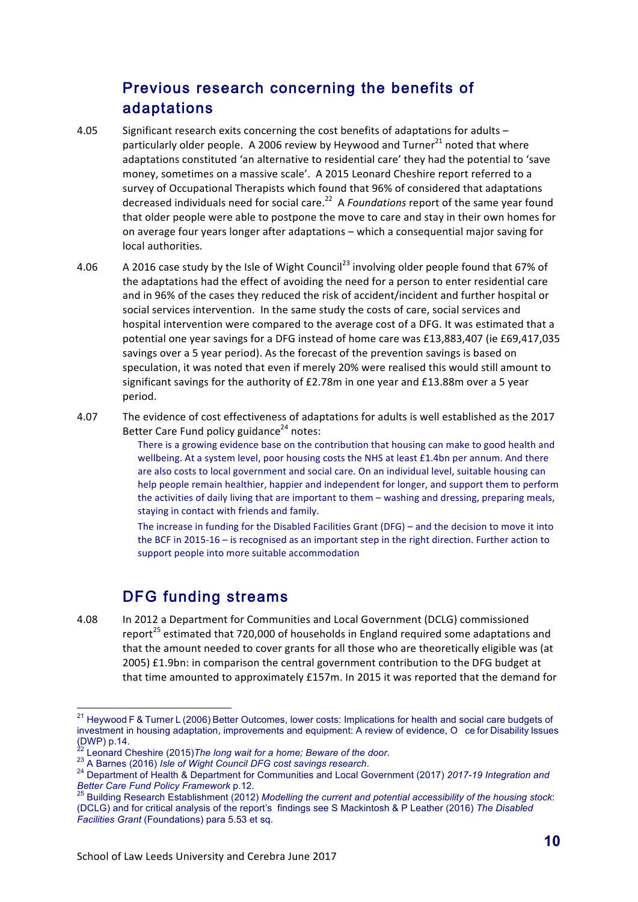# Previous research concerning the benefits of adaptations

- 4.05 Significant research exits concerning the cost benefits of adaptations for adults particularly older people. A 2006 review by Heywood and Turner<sup>21</sup> noted that where adaptations constituted 'an alternative to residential care' they had the potential to 'save money, sometimes on a massive scale'. A 2015 Leonard Cheshire report referred to a survey of Occupational Therapists which found that 96% of considered that adaptations decreased individuals need for social care.<sup>22</sup> A *Foundations* report of the same year found that older people were able to postpone the move to care and stay in their own homes for on average four years longer after adaptations – which a consequential major saving for local authorities.
- 4.06 A 2016 case study by the Isle of Wight Council<sup>23</sup> involving older people found that 67% of the adaptations had the effect of avoiding the need for a person to enter residential care and in 96% of the cases they reduced the risk of accident/incident and further hospital or social services intervention. In the same study the costs of care, social services and hospital intervention were compared to the average cost of a DFG. It was estimated that a potential one year savings for a DFG instead of home care was £13,883,407 (ie £69,417,035 savings over a 5 year period). As the forecast of the prevention savings is based on speculation, it was noted that even if merely 20% were realised this would still amount to significant savings for the authority of  $E2.78$ m in one year and  $E13.88$ m over a 5 year period.
- 4.07 The evidence of cost effectiveness of adaptations for adults is well established as the 2017 Better Care Fund policy guidance<sup>24</sup> notes:

There is a growing evidence base on the contribution that housing can make to good health and wellbeing. At a system level, poor housing costs the NHS at least £1.4bn per annum. And there are also costs to local government and social care. On an individual level, suitable housing can help people remain healthier, happier and independent for longer, and support them to perform the activities of daily living that are important to them - washing and dressing, preparing meals, staying in contact with friends and family.

The increase in funding for the Disabled Facilities Grant (DFG) – and the decision to move it into the BCF in 2015-16 – is recognised as an important step in the right direction. Further action to support people into more suitable accommodation

# DFG funding streams

4.08 In 2012 a Department for Communities and Local Government (DCLG) commissioned report<sup>25</sup> estimated that 720,000 of households in England required some adaptations and that the amount needed to cover grants for all those who are theoretically eligible was (at 2005)  $£1.9$ bn: in comparison the central government contribution to the DFG budget at that time amounted to approximately £157m. In 2015 it was reported that the demand for

<sup>&</sup>lt;sup>21</sup> Heywood F & Turner L (2006) Better Outcomes, lower costs: Implications for health and social care budgets of investment in housing adaptation, improvements and equipment: A review of evidence, O ce for Disability Issues (DWP) p.14.<br><sup>22</sup> Leonard Cheshire (2015) The long wait for a home: Beware of the door.

<sup>23</sup> A Barnes (2016) *Isle of Wight Council DFG cost savings research*.<br><sup>23</sup> A Barnes (2016) *Isle of Wight Council DFG cost savings research*.<br><sup>24</sup> Department of Health & Department for Communities and Local Government (201 *Better Care Fund Policy Framework* p.12.<br><sup>25</sup> Building Research Establishment (2012) *Modelling the current and potential accessibility of the housing stock*:

<sup>(</sup>DCLG) and for critical analysis of the report's findings see S Mackintosh & P Leather (2016) *The Disabled Facilities Grant* (Foundations) para 5.53 et sq.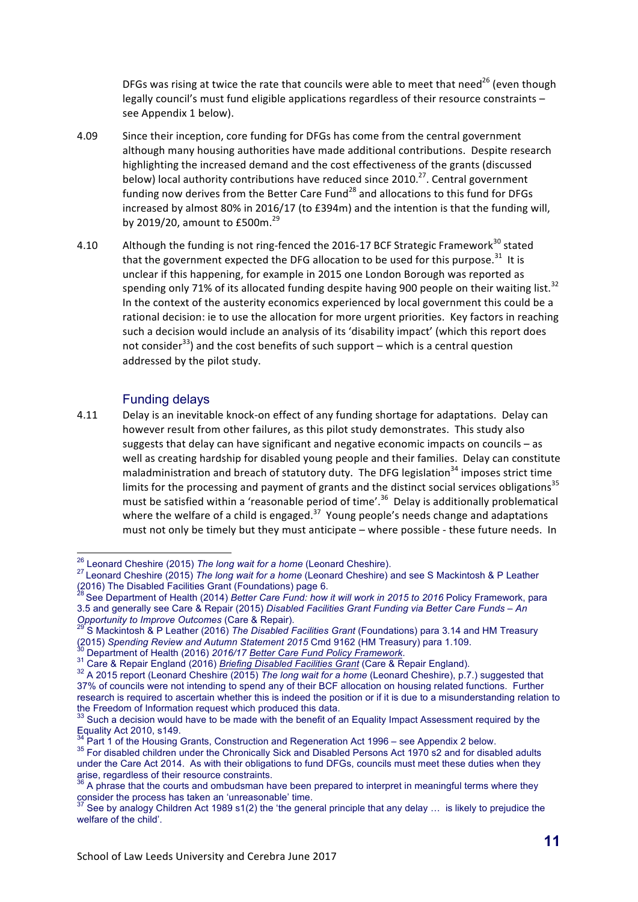DFGs was rising at twice the rate that councils were able to meet that need<sup>26</sup> (even though legally council's must fund eligible applications regardless of their resource constraints – see Appendix 1 below).

- 4.09 Since their inception, core funding for DFGs has come from the central government although many housing authorities have made additional contributions. Despite research highlighting the increased demand and the cost effectiveness of the grants (discussed below) local authority contributions have reduced since  $2010.<sup>27</sup>$ . Central government funding now derives from the Better Care Fund<sup>28</sup> and allocations to this fund for DFGs increased by almost 80% in 2016/17 (to £394m) and the intention is that the funding will, by 2019/20, amount to  $£500m.<sup>29</sup>$
- 4.10 Although the funding is not ring-fenced the 2016-17 BCF Strategic Framework<sup>30</sup> stated that the government expected the DFG allocation to be used for this purpose.<sup>31</sup> It is unclear if this happening, for example in 2015 one London Borough was reported as spending only 71% of its allocated funding despite having 900 people on their waiting list.<sup>32</sup> In the context of the austerity economics experienced by local government this could be a rational decision: ie to use the allocation for more urgent priorities. Key factors in reaching such a decision would include an analysis of its 'disability impact' (which this report does not consider<sup>33</sup>) and the cost benefits of such support – which is a central question addressed by the pilot study.

#### Funding delays

4.11 Delay is an inevitable knock-on effect of any funding shortage for adaptations. Delay can however result from other failures, as this pilot study demonstrates. This study also suggests that delay can have significant and negative economic impacts on councils  $-$  as well as creating hardship for disabled young people and their families. Delay can constitute maladministration and breach of statutory duty. The DFG legislation<sup>34</sup> imposes strict time limits for the processing and payment of grants and the distinct social services obligations<sup>35</sup> must be satisfied within a 'reasonable period of time'.<sup>36</sup> Delay is additionally problematical where the welfare of a child is engaged.<sup>37</sup> Young people's needs change and adaptations must not only be timely but they must anticipate – where possible - these future needs. In

 <sup>26</sup> Leonard Cheshire (2015) *The long wait for a home* (Leonard Cheshire). <sup>27</sup> Leonard Cheshire (2015) *The long wait for a home* (Leonard Cheshire) and see S Mackintosh & P Leather (2016) The Disabled Facilities Grant (Foundations) page 6.<br><sup>28</sup> See Department of Health (2014) *Better Care Fund: how it will work in 2015 to 2016* Policy Framework, para

<sup>3.5</sup> and generally see Care & Repair (2015) *Disabled Facilities Grant Funding via Better Care Funds – An* <br>Opportunity to Improve Outcomes (Care & Repair).<br><sup>29</sup> S. Mackintagh & D. Latin (2016). The Care of Care of Care in

*Opportunity to improve Outcomes* (Care & Repair).<br>
So Mackintosh & P Leather (2016) *The Disabled Facilities Grant* (Foundations) para 3.14 and HM Treasury<br>
(2015) *Spending Review and Autumn Statement 2015* Cmd 9162 (HM

<sup>&</sup>lt;sup>30</sup> Department of Health (2016) 2016/17 Better Care Fund Policy Framework.<br><sup>31</sup> Care & Repair England (2016) Briefing Disabled Facilities Grant (Care & Repair England).<br><sup>32</sup> A 2015 report (Leonard Cheshire (2015) The long 37% of councils were not intending to spend any of their BCF allocation on housing related functions. Further research is required to ascertain whether this is indeed the position or if it is due to a misunderstanding relation to the Freedom of Information request which produced this data.

 $33$  Such a decision would have to be made with the benefit of an Equality Impact Assessment required by the Equality Act 2010, s149.<br><sup>34</sup> Part 1 of the Housing Grants, Construction and Regeneration Act 1996 – see Appendix 2 below.

<sup>&</sup>lt;sup>35</sup> For disabled children under the Chronically Sick and Disabled Persons Act 1970 s2 and for disabled adults under the Care Act 2014. As with their obligations to fund DFGs, councils must meet these duties when they arise, regardless of their resource constraints.

 $36$  A phrase that the courts and ombudsman have been prepared to interpret in meaningful terms where they consider the process has taken an 'unreasonable' time.

See by analogy Children Act 1989 s1(2) the 'the general principle that any delay ... is likely to prejudice the welfare of the child'.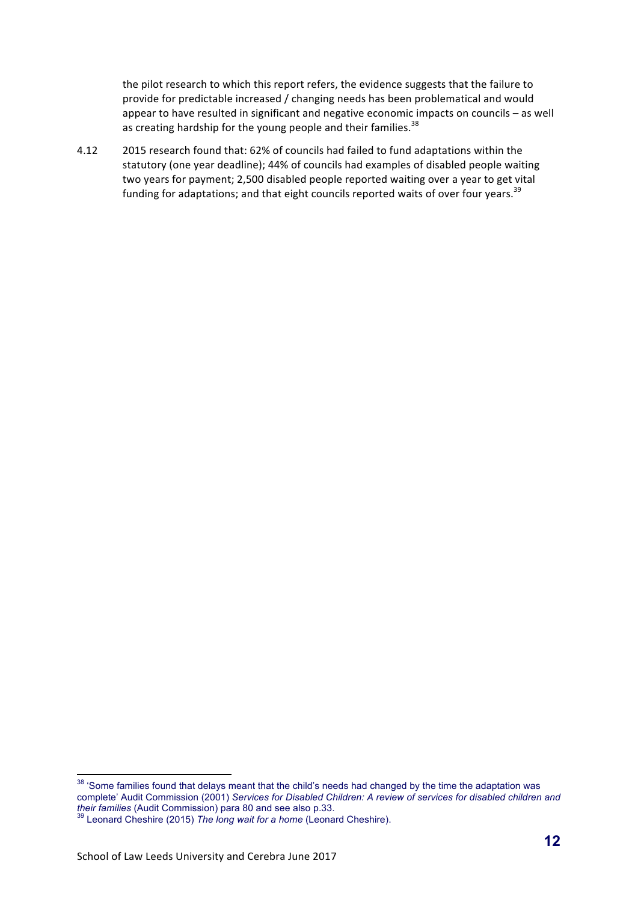the pilot research to which this report refers, the evidence suggests that the failure to provide for predictable increased / changing needs has been problematical and would appear to have resulted in significant and negative economic impacts on councils – as well as creating hardship for the young people and their families.  $38$ 

4.12 2015 research found that: 62% of councils had failed to fund adaptations within the statutory (one year deadline); 44% of councils had examples of disabled people waiting two years for payment; 2,500 disabled people reported waiting over a year to get vital funding for adaptations; and that eight councils reported waits of over four years.<sup>39</sup>

<sup>&</sup>lt;sup>38</sup> 'Some families found that delays meant that the child's needs had changed by the time the adaptation was complete' Audit Commission (2001) *Services for Disabled Children: A review of services for disabled children and their families* (Audit Commission) para 80 and see also p.33.<br><sup>39</sup> Leonard Cheshire (2015) *The long wait for a home* (Leonard Cheshire).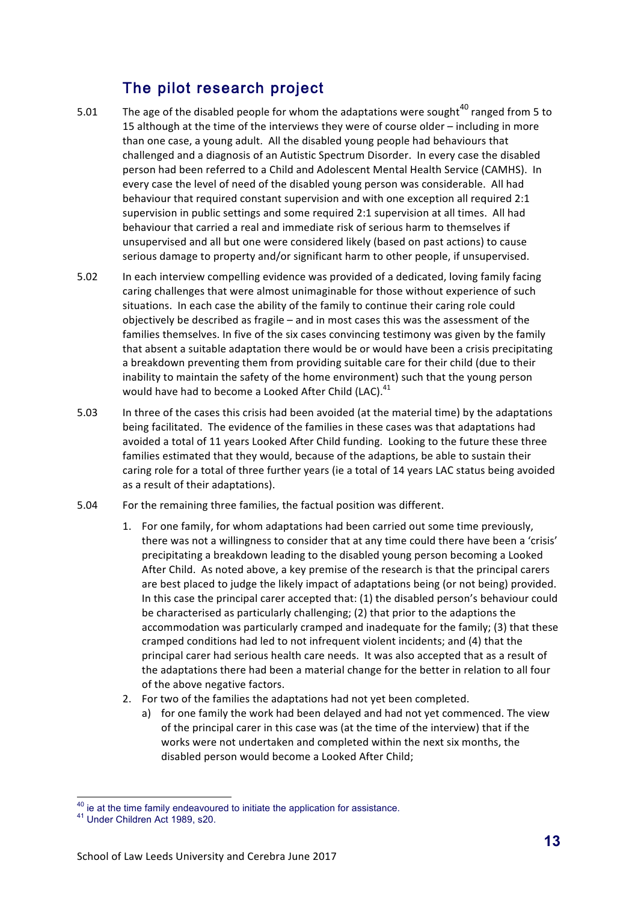# The pilot research project

- 5.01 The age of the disabled people for whom the adaptations were sought<sup>40</sup> ranged from 5 to 15 although at the time of the interviews they were of course older – including in more than one case, a young adult. All the disabled young people had behaviours that challenged and a diagnosis of an Autistic Spectrum Disorder. In every case the disabled person had been referred to a Child and Adolescent Mental Health Service (CAMHS). In every case the level of need of the disabled young person was considerable. All had behaviour that required constant supervision and with one exception all required  $2:1$ supervision in public settings and some required 2:1 supervision at all times. All had behaviour that carried a real and immediate risk of serious harm to themselves if unsupervised and all but one were considered likely (based on past actions) to cause serious damage to property and/or significant harm to other people, if unsupervised.
- 5.02 In each interview compelling evidence was provided of a dedicated, loving family facing caring challenges that were almost unimaginable for those without experience of such situations. In each case the ability of the family to continue their caring role could objectively be described as fragile  $-$  and in most cases this was the assessment of the families themselves. In five of the six cases convincing testimony was given by the family that absent a suitable adaptation there would be or would have been a crisis precipitating a breakdown preventing them from providing suitable care for their child (due to their inability to maintain the safety of the home environment) such that the young person would have had to become a Looked After Child (LAC).<sup>41</sup>
- 5.03 In three of the cases this crisis had been avoided (at the material time) by the adaptations being facilitated. The evidence of the families in these cases was that adaptations had avoided a total of 11 years Looked After Child funding. Looking to the future these three families estimated that they would, because of the adaptions, be able to sustain their caring role for a total of three further years (ie a total of 14 years LAC status being avoided as a result of their adaptations).
- 5.04 For the remaining three families, the factual position was different.
	- 1. For one family, for whom adaptations had been carried out some time previously, there was not a willingness to consider that at any time could there have been a 'crisis' precipitating a breakdown leading to the disabled young person becoming a Looked After Child. As noted above, a key premise of the research is that the principal carers are best placed to judge the likely impact of adaptations being (or not being) provided. In this case the principal carer accepted that: (1) the disabled person's behaviour could be characterised as particularly challenging;  $(2)$  that prior to the adaptions the accommodation was particularly cramped and inadequate for the family; (3) that these cramped conditions had led to not infrequent violent incidents; and (4) that the principal carer had serious health care needs. It was also accepted that as a result of the adaptations there had been a material change for the better in relation to all four of the above negative factors.
	- 2. For two of the families the adaptations had not yet been completed.
		- a) for one family the work had been delayed and had not yet commenced. The view of the principal carer in this case was (at the time of the interview) that if the works were not undertaken and completed within the next six months, the disabled person would become a Looked After Child;

 $40$  ie at the time family endeavoured to initiate the application for assistance.<br> $41$  Under Children Act 1989, s20.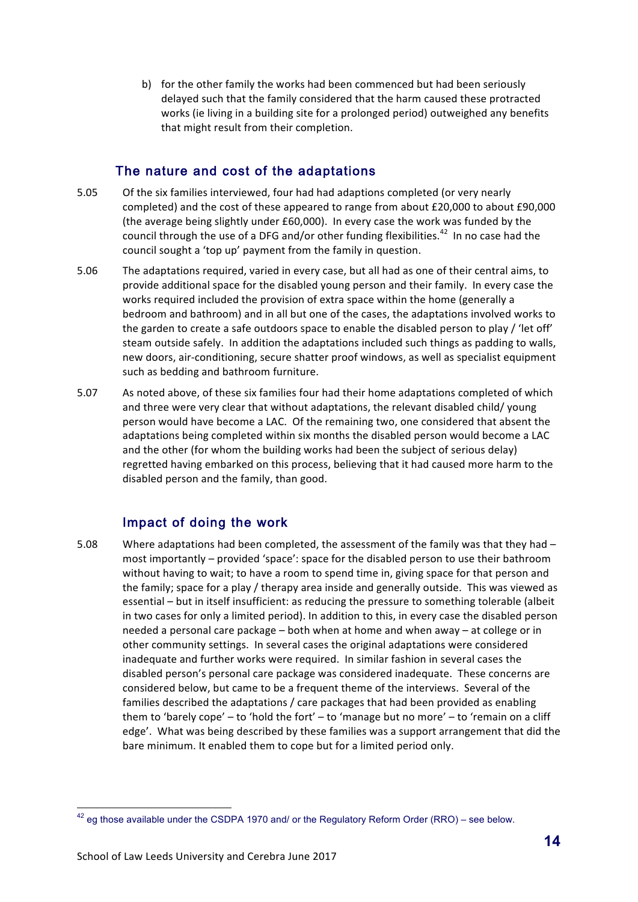b) for the other family the works had been commenced but had been seriously delayed such that the family considered that the harm caused these protracted works (ie living in a building site for a prolonged period) outweighed any benefits that might result from their completion.

## The nature and cost of the adaptations

- 5.05 Of the six families interviewed, four had had adaptions completed (or very nearly completed) and the cost of these appeared to range from about £20,000 to about £90,000 (the average being slightly under  $£60,000$ ). In every case the work was funded by the council through the use of a DFG and/or other funding flexibilities.<sup>42</sup> In no case had the council sought a 'top up' payment from the family in question.
- 5.06 The adaptations required, varied in every case, but all had as one of their central aims, to provide additional space for the disabled young person and their family. In every case the works required included the provision of extra space within the home (generally a bedroom and bathroom) and in all but one of the cases, the adaptations involved works to the garden to create a safe outdoors space to enable the disabled person to play / 'let off' steam outside safely. In addition the adaptations included such things as padding to walls, new doors, air-conditioning, secure shatter proof windows, as well as specialist equipment such as bedding and bathroom furniture.
- 5.07 As noted above, of these six families four had their home adaptations completed of which and three were very clear that without adaptations, the relevant disabled child/ young person would have become a LAC. Of the remaining two, one considered that absent the adaptations being completed within six months the disabled person would become a LAC and the other (for whom the building works had been the subject of serious delay) regretted having embarked on this process, believing that it had caused more harm to the disabled person and the family, than good.

# Impact of doing the work

5.08 Where adaptations had been completed, the assessment of the family was that they had most importantly – provided 'space': space for the disabled person to use their bathroom without having to wait; to have a room to spend time in, giving space for that person and the family; space for a play / therapy area inside and generally outside. This was viewed as essential – but in itself insufficient: as reducing the pressure to something tolerable (albeit in two cases for only a limited period). In addition to this, in every case the disabled person needed a personal care package  $-$  both when at home and when away  $-$  at college or in other community settings. In several cases the original adaptations were considered inadequate and further works were required. In similar fashion in several cases the disabled person's personal care package was considered inadequate. These concerns are considered below, but came to be a frequent theme of the interviews. Several of the families described the adaptations / care packages that had been provided as enabling them to 'barely cope' – to 'hold the fort' – to 'manage but no more' – to 'remain on a cliff edge'. What was being described by these families was a support arrangement that did the bare minimum. It enabled them to cope but for a limited period only.

 $42$  eg those available under the CSDPA 1970 and/ or the Regulatory Reform Order (RRO) – see below.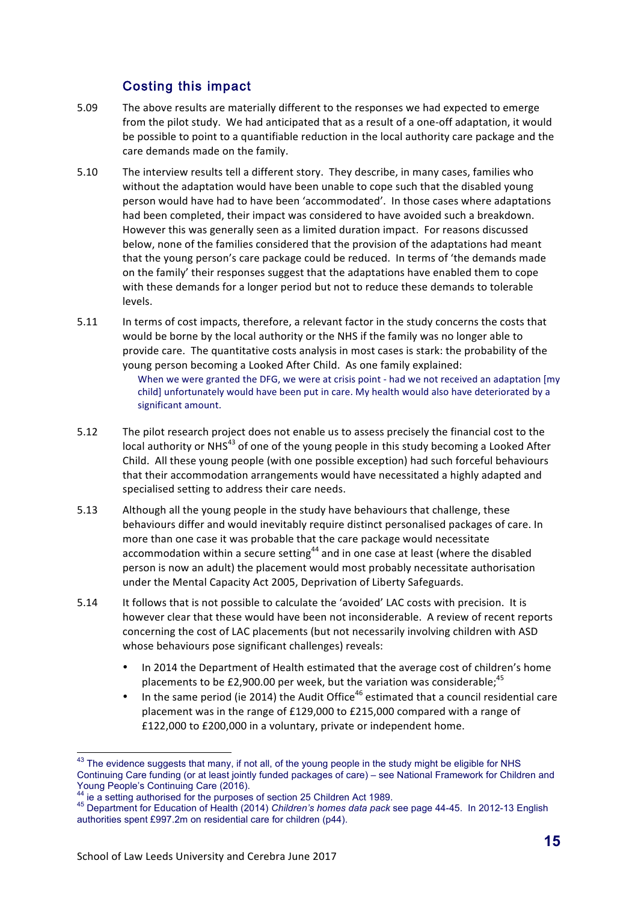# Costing this impact

- 5.09 The above results are materially different to the responses we had expected to emerge from the pilot study. We had anticipated that as a result of a one-off adaptation, it would be possible to point to a quantifiable reduction in the local authority care package and the care demands made on the family.
- 5.10 The interview results tell a different story. They describe, in many cases, families who without the adaptation would have been unable to cope such that the disabled young person would have had to have been 'accommodated'. In those cases where adaptations had been completed, their impact was considered to have avoided such a breakdown. However this was generally seen as a limited duration impact. For reasons discussed below, none of the families considered that the provision of the adaptations had meant that the young person's care package could be reduced. In terms of 'the demands made on the family' their responses suggest that the adaptations have enabled them to cope with these demands for a longer period but not to reduce these demands to tolerable levels.
- 5.11 In terms of cost impacts, therefore, a relevant factor in the study concerns the costs that would be borne by the local authority or the NHS if the family was no longer able to provide care. The quantitative costs analysis in most cases is stark: the probability of the young person becoming a Looked After Child. As one family explained: When we were granted the DFG, we were at crisis point - had we not received an adaptation [my child] unfortunately would have been put in care. My health would also have deteriorated by a significant amount.
- 5.12 The pilot research project does not enable us to assess precisely the financial cost to the local authority or NHS<sup>43</sup> of one of the young people in this study becoming a Looked After Child. All these young people (with one possible exception) had such forceful behaviours that their accommodation arrangements would have necessitated a highly adapted and specialised setting to address their care needs.
- 5.13 Although all the young people in the study have behaviours that challenge, these behaviours differ and would inevitably require distinct personalised packages of care. In more than one case it was probable that the care package would necessitate accommodation within a secure setting<sup>44</sup> and in one case at least (where the disabled person is now an adult) the placement would most probably necessitate authorisation under the Mental Capacity Act 2005, Deprivation of Liberty Safeguards.
- 5.14 It follows that is not possible to calculate the 'avoided' LAC costs with precision. It is however clear that these would have been not inconsiderable. A review of recent reports concerning the cost of LAC placements (but not necessarily involving children with ASD whose behaviours pose significant challenges) reveals:
	- In 2014 the Department of Health estimated that the average cost of children's home placements to be £2,900.00 per week, but the variation was considerable;<sup>45</sup>
	- In the same period (ie 2014) the Audit Office<sup>46</sup> estimated that a council residential care placement was in the range of  $£129,000$  to  $£215,000$  compared with a range of £122,000 to £200,000 in a voluntary, private or independent home.

<sup>&</sup>lt;sup>43</sup> The evidence suggests that many, if not all, of the young people in the study might be eligible for NHS Continuing Care funding (or at least jointly funded packages of care) – see National Framework for Children and Young People's Continuing (or at reast joint)<br>44 is a saffix section of the Care (2016).

<sup>&</sup>lt;sup>44</sup> ie a setting authorised for the purposes of section 25 Children Act 1989.<br><sup>45</sup> Department for Education of Health (2014) *Children's homes data pack* see page 44-45. In 2012-13 English authorities spent £997.2m on residential care for children (p44).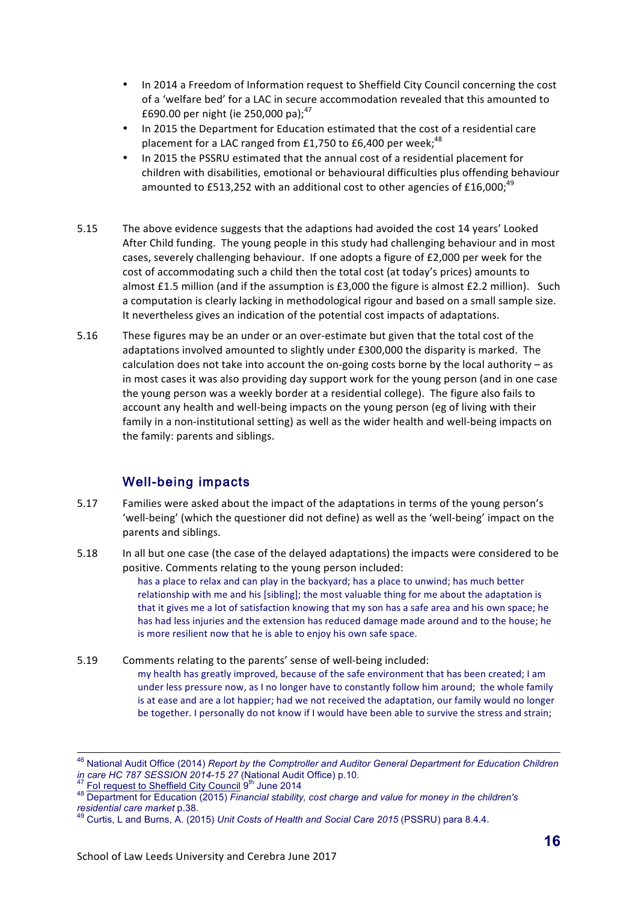- In 2014 a Freedom of Information request to Sheffield City Council concerning the cost of a 'welfare bed' for a LAC in secure accommodation revealed that this amounted to £690.00 per night (ie 250,000 pa);<sup>47</sup>
- In 2015 the Department for Education estimated that the cost of a residential care placement for a LAC ranged from £1,750 to £6,400 per week;<sup>48</sup>
- In 2015 the PSSRU estimated that the annual cost of a residential placement for children with disabilities, emotional or behavioural difficulties plus offending behaviour amounted to £513,252 with an additional cost to other agencies of £16,000:<sup>49</sup>
- 5.15 The above evidence suggests that the adaptions had avoided the cost 14 years' Looked After Child funding. The young people in this study had challenging behaviour and in most cases, severely challenging behaviour. If one adopts a figure of  $£2,000$  per week for the cost of accommodating such a child then the total cost (at today's prices) amounts to almost £1.5 million (and if the assumption is  $£3,000$  the figure is almost  $£2.2$  million). Such a computation is clearly lacking in methodological rigour and based on a small sample size. It nevertheless gives an indication of the potential cost impacts of adaptations.
- 5.16 These figures may be an under or an over-estimate but given that the total cost of the adaptations involved amounted to slightly under £300,000 the disparity is marked. The calculation does not take into account the on-going costs borne by the local authority  $-$  as in most cases it was also providing day support work for the young person (and in one case the young person was a weekly border at a residential college). The figure also fails to account any health and well-being impacts on the young person (eg of living with their family in a non-institutional setting) as well as the wider health and well-being impacts on the family: parents and siblings.

# Well-being impacts

- 5.17 Families were asked about the impact of the adaptations in terms of the young person's 'well-being' (which the questioner did not define) as well as the 'well-being' impact on the parents and siblings.
- 5.18 In all but one case (the case of the delayed adaptations) the impacts were considered to be positive. Comments relating to the young person included:

has a place to relax and can play in the backyard; has a place to unwind; has much better relationship with me and his [sibling]; the most valuable thing for me about the adaptation is that it gives me a lot of satisfaction knowing that my son has a safe area and his own space; he has had less injuries and the extension has reduced damage made around and to the house; he is more resilient now that he is able to enjoy his own safe space.

5.19 Comments relating to the parents' sense of well-being included: my health has greatly improved, because of the safe environment that has been created; I am under less pressure now, as I no longer have to constantly follow him around; the whole family is at ease and are a lot happier; had we not received the adaptation, our family would no longer be together. I personally do not know if I would have been able to survive the stress and strain;

<sup>&</sup>lt;sup>46</sup> National Audit Office (2014) *Report by the Comptroller and Auditor General Department for Education Children*<br>*in care HC 787 SESSION 2014-15 27* (National Audit Office) p.10.<br><sup>47</sup> Eol request to Sheffield City Carry

<sup>&</sup>lt;sup>47</sup> Fol request to Sheffield City Council  $9^{th}$  June 2014<br><sup>48</sup> Department for Education (2015) *Financial stability, cost charge and value for money in the children's*<br>*residential card Direct* p.38.

*residential care market* p.38. <sup>49</sup> Curtis, L and Burns, A. (2015) *Unit Costs of Health and Social Care 2015* (PSSRU) para 8.4.4.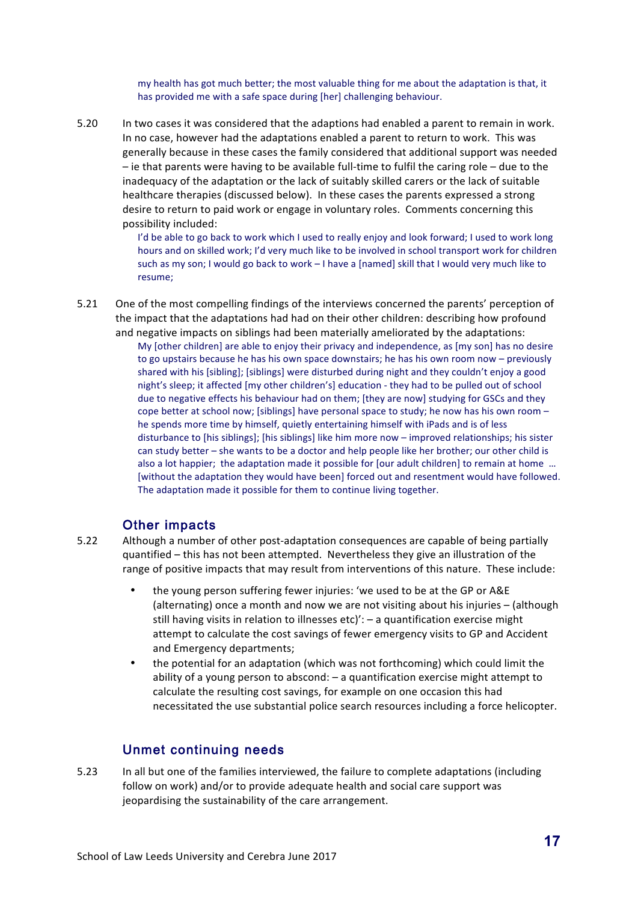my health has got much better; the most valuable thing for me about the adaptation is that, it has provided me with a safe space during [her] challenging behaviour.

5.20 In two cases it was considered that the adaptions had enabled a parent to remain in work. In no case, however had the adaptations enabled a parent to return to work. This was generally because in these cases the family considered that additional support was needed  $-$  ie that parents were having to be available full-time to fulfil the caring role  $-$  due to the inadequacy of the adaptation or the lack of suitably skilled carers or the lack of suitable healthcare therapies (discussed below). In these cases the parents expressed a strong desire to return to paid work or engage in voluntary roles. Comments concerning this possibility included:

> I'd be able to go back to work which I used to really enjoy and look forward; I used to work long hours and on skilled work; I'd very much like to be involved in school transport work for children such as my son; I would go back to work - I have a [named] skill that I would very much like to resume;

5.21 One of the most compelling findings of the interviews concerned the parents' perception of the impact that the adaptations had had on their other children: describing how profound and negative impacts on siblings had been materially ameliorated by the adaptations:

My [other children] are able to enjoy their privacy and independence, as [my son] has no desire to go upstairs because he has his own space downstairs; he has his own room now – previously shared with his [sibling]; [siblings] were disturbed during night and they couldn't enjoy a good night's sleep; it affected [my other children's] education - they had to be pulled out of school due to negative effects his behaviour had on them; [they are now] studying for GSCs and they cope better at school now; [siblings] have personal space to study; he now has his own room – he spends more time by himself, quietly entertaining himself with iPads and is of less disturbance to [his siblings]; [his siblings] like him more now - improved relationships; his sister can study better – she wants to be a doctor and help people like her brother; our other child is also a lot happier; the adaptation made it possible for [our adult children] to remain at home ... [without the adaptation they would have been] forced out and resentment would have followed. The adaptation made it possible for them to continue living together.

### Other impacts

5.22 Although a number of other post-adaptation consequences are capable of being partially quantified – this has not been attempted. Nevertheless they give an illustration of the range of positive impacts that may result from interventions of this nature. These include:

- the young person suffering fewer injuries: 'we used to be at the GP or A&E (alternating) once a month and now we are not visiting about his injuries – (although still having visits in relation to illnesses  $etc$ )':  $-$  a quantification exercise might attempt to calculate the cost savings of fewer emergency visits to GP and Accident and Emergency departments;
- the potential for an adaptation (which was not forthcoming) which could limit the ability of a young person to abscond:  $-$  a quantification exercise might attempt to calculate the resulting cost savings, for example on one occasion this had necessitated the use substantial police search resources including a force helicopter.

## Unmet continuing needs

5.23 In all but one of the families interviewed, the failure to complete adaptations (including follow on work) and/or to provide adequate health and social care support was jeopardising the sustainability of the care arrangement.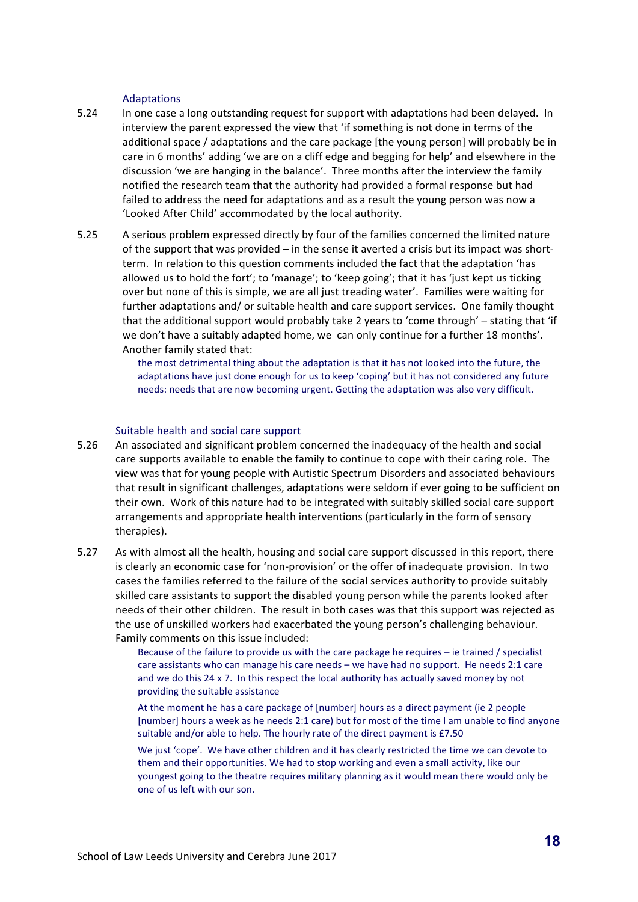#### Adaptations

- 5.24 In one case a long outstanding request for support with adaptations had been delayed. In interview the parent expressed the view that 'if something is not done in terms of the additional space / adaptations and the care package [the young person] will probably be in care in 6 months' adding 'we are on a cliff edge and begging for help' and elsewhere in the discussion 'we are hanging in the balance'. Three months after the interview the family notified the research team that the authority had provided a formal response but had failed to address the need for adaptations and as a result the young person was now a 'Looked After Child' accommodated by the local authority.
- 5.25 A serious problem expressed directly by four of the families concerned the limited nature of the support that was provided  $-$  in the sense it averted a crisis but its impact was shortterm. In relation to this question comments included the fact that the adaptation 'has allowed us to hold the fort'; to 'manage'; to 'keep going'; that it has 'just kept us ticking over but none of this is simple, we are all just treading water'. Families were waiting for further adaptations and/ or suitable health and care support services. One family thought that the additional support would probably take 2 years to 'come through' – stating that 'if we don't have a suitably adapted home, we can only continue for a further 18 months'. Another family stated that:

the most detrimental thing about the adaptation is that it has not looked into the future, the adaptations have just done enough for us to keep 'coping' but it has not considered any future needs: needs that are now becoming urgent. Getting the adaptation was also very difficult.

#### Suitable health and social care support

- 5.26 An associated and significant problem concerned the inadequacy of the health and social care supports available to enable the family to continue to cope with their caring role. The view was that for young people with Autistic Spectrum Disorders and associated behaviours that result in significant challenges, adaptations were seldom if ever going to be sufficient on their own. Work of this nature had to be integrated with suitably skilled social care support arrangements and appropriate health interventions (particularly in the form of sensory therapies).
- 5.27 As with almost all the health, housing and social care support discussed in this report, there is clearly an economic case for 'non-provision' or the offer of inadequate provision. In two cases the families referred to the failure of the social services authority to provide suitably skilled care assistants to support the disabled young person while the parents looked after needs of their other children. The result in both cases was that this support was rejected as the use of unskilled workers had exacerbated the young person's challenging behaviour. Family comments on this issue included:

Because of the failure to provide us with the care package he requires  $-$  ie trained / specialist care assistants who can manage his care needs - we have had no support. He needs 2:1 care and we do this  $24 \times 7$ . In this respect the local authority has actually saved money by not providing the suitable assistance

At the moment he has a care package of [number] hours as a direct payment (ie 2 people [number] hours a week as he needs 2:1 care) but for most of the time I am unable to find anyone suitable and/or able to help. The hourly rate of the direct payment is £7.50

We just 'cope'. We have other children and it has clearly restricted the time we can devote to them and their opportunities. We had to stop working and even a small activity, like our youngest going to the theatre requires military planning as it would mean there would only be one of us left with our son.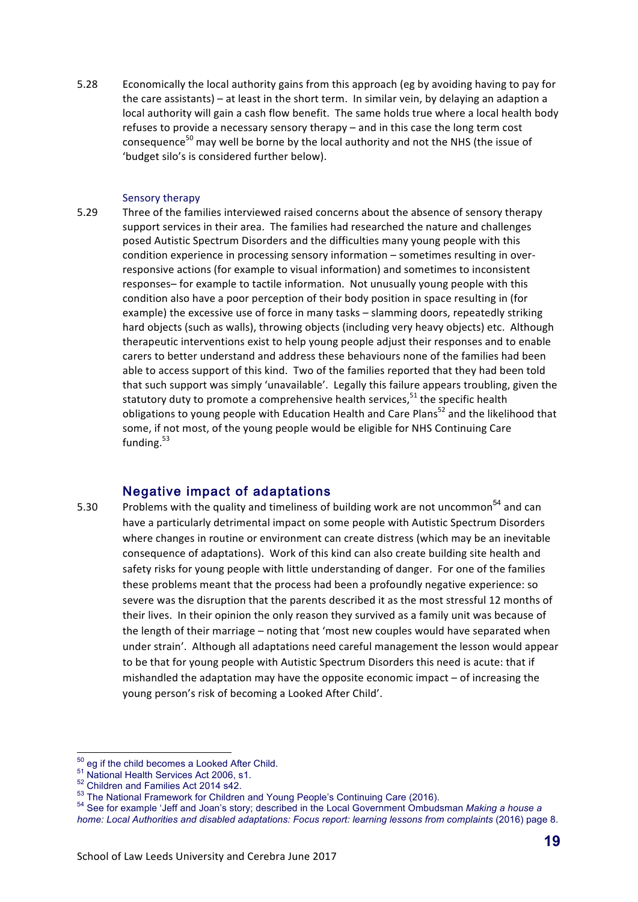5.28 Economically the local authority gains from this approach (eg by avoiding having to pay for the care assistants) – at least in the short term. In similar vein, by delaying an adaption a local authority will gain a cash flow benefit. The same holds true where a local health body refuses to provide a necessary sensory therapy  $-$  and in this case the long term cost consequence<sup>50</sup> may well be borne by the local authority and not the NHS (the issue of 'budget silo's is considered further below).

#### Sensory therapy

5.29 Three of the families interviewed raised concerns about the absence of sensory therapy support services in their area. The families had researched the nature and challenges posed Autistic Spectrum Disorders and the difficulties many young people with this condition experience in processing sensory information – sometimes resulting in overresponsive actions (for example to visual information) and sometimes to inconsistent responses– for example to tactile information. Not unusually young people with this condition also have a poor perception of their body position in space resulting in (for example) the excessive use of force in many tasks – slamming doors, repeatedly striking hard objects (such as walls), throwing objects (including very heavy objects) etc. Although therapeutic interventions exist to help young people adjust their responses and to enable carers to better understand and address these behaviours none of the families had been able to access support of this kind. Two of the families reported that they had been told that such support was simply 'unavailable'. Legally this failure appears troubling, given the statutory duty to promote a comprehensive health services,  $51$  the specific health obligations to young people with Education Health and Care Plans<sup>52</sup> and the likelihood that some, if not most, of the young people would be eligible for NHS Continuing Care funding.<sup>53</sup>

### Negative impact of adaptations

5.30 Problems with the quality and timeliness of building work are not uncommon<sup>54</sup> and can have a particularly detrimental impact on some people with Autistic Spectrum Disorders where changes in routine or environment can create distress (which may be an inevitable consequence of adaptations). Work of this kind can also create building site health and safety risks for young people with little understanding of danger. For one of the families these problems meant that the process had been a profoundly negative experience: so severe was the disruption that the parents described it as the most stressful 12 months of their lives. In their opinion the only reason they survived as a family unit was because of the length of their marriage – noting that 'most new couples would have separated when under strain'. Although all adaptations need careful management the lesson would appear to be that for young people with Autistic Spectrum Disorders this need is acute: that if mishandled the adaptation may have the opposite economic impact  $-$  of increasing the young person's risk of becoming a Looked After Child'.

<sup>&</sup>lt;sup>50</sup> eg if the child becomes a Looked After Child.<br>
<sup>51</sup> National Health Services Act 2006, s1.<br>
<sup>52</sup> Children and Families Act 2014 s42.<br>
<sup>53</sup> The National Framework for Children and Young People's Continuing Care (2016) *home: Local Authorities and disabled adaptations: Focus report: learning lessons from complaints* (2016) page 8.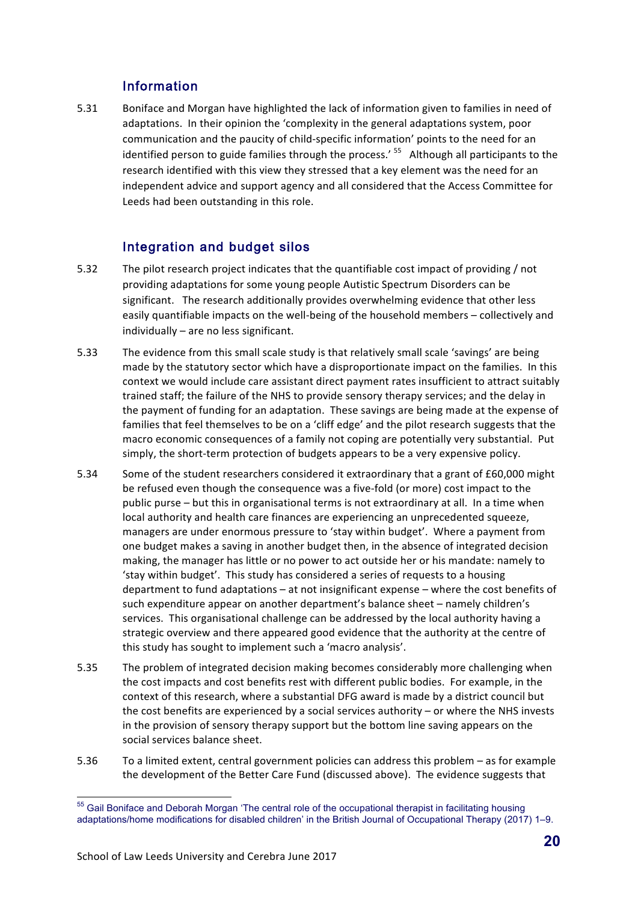## Information

5.31 Boniface and Morgan have highlighted the lack of information given to families in need of adaptations. In their opinion the 'complexity in the general adaptations system, poor communication and the paucity of child-specific information' points to the need for an identified person to guide families through the process.'  $55$  Although all participants to the research identified with this view they stressed that a key element was the need for an independent advice and support agency and all considered that the Access Committee for Leeds had been outstanding in this role.

# Integration and budget silos

- 5.32 The pilot research project indicates that the quantifiable cost impact of providing / not providing adaptations for some young people Autistic Spectrum Disorders can be significant. The research additionally provides overwhelming evidence that other less easily quantifiable impacts on the well-being of the household members – collectively and  $individually - are no less significant.$
- 5.33 The evidence from this small scale study is that relatively small scale 'savings' are being made by the statutory sector which have a disproportionate impact on the families. In this context we would include care assistant direct payment rates insufficient to attract suitably trained staff; the failure of the NHS to provide sensory therapy services; and the delay in the payment of funding for an adaptation. These savings are being made at the expense of families that feel themselves to be on a 'cliff edge' and the pilot research suggests that the macro economic consequences of a family not coping are potentially very substantial. Put simply, the short-term protection of budgets appears to be a very expensive policy.
- 5.34 Some of the student researchers considered it extraordinary that a grant of £60,000 might be refused even though the consequence was a five-fold (or more) cost impact to the public purse – but this in organisational terms is not extraordinary at all. In a time when local authority and health care finances are experiencing an unprecedented squeeze, managers are under enormous pressure to 'stay within budget'. Where a payment from one budget makes a saving in another budget then, in the absence of integrated decision making, the manager has little or no power to act outside her or his mandate: namely to 'stay within budget'. This study has considered a series of requests to a housing department to fund adaptations  $-$  at not insignificant expense  $-$  where the cost benefits of such expenditure appear on another department's balance sheet – namely children's services. This organisational challenge can be addressed by the local authority having a strategic overview and there appeared good evidence that the authority at the centre of this study has sought to implement such a 'macro analysis'.
- 5.35 The problem of integrated decision making becomes considerably more challenging when the cost impacts and cost benefits rest with different public bodies. For example, in the context of this research, where a substantial DFG award is made by a district council but the cost benefits are experienced by a social services authority – or where the NHS invests in the provision of sensory therapy support but the bottom line saving appears on the social services balance sheet.
- 5.36 To a limited extent, central government policies can address this problem as for example the development of the Better Care Fund (discussed above). The evidence suggests that

<sup>&</sup>lt;sup>55</sup> Gail Boniface and Deborah Morgan 'The central role of the occupational therapist in facilitating housing adaptations/home modifications for disabled children' in the British Journal of Occupational Therapy (2017) 1–9.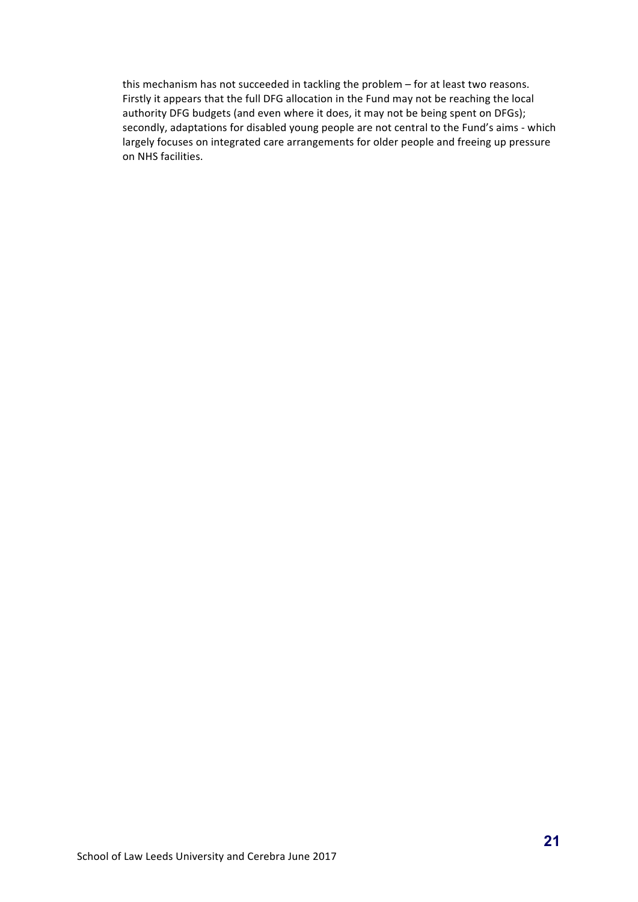this mechanism has not succeeded in tackling the problem - for at least two reasons. Firstly it appears that the full DFG allocation in the Fund may not be reaching the local authority DFG budgets (and even where it does, it may not be being spent on DFGs); secondly, adaptations for disabled young people are not central to the Fund's aims - which largely focuses on integrated care arrangements for older people and freeing up pressure on NHS facilities.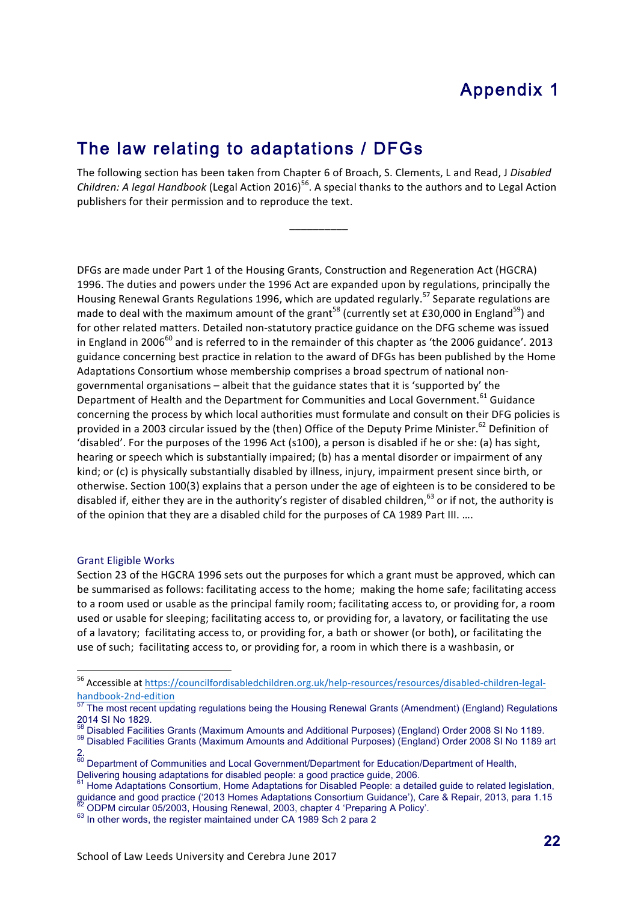# Appendix 1

# The law relating to adaptations / DFGs

The following section has been taken from Chapter 6 of Broach, S. Clements, L and Read, J Disabled *Children:* A legal Handbook (Legal Action 2016)<sup>56</sup>. A special thanks to the authors and to Legal Action publishers for their permission and to reproduce the text.

\_\_\_\_\_\_\_\_\_\_

DFGs are made under Part 1 of the Housing Grants, Construction and Regeneration Act (HGCRA) 1996. The duties and powers under the 1996 Act are expanded upon by regulations, principally the Housing Renewal Grants Regulations 1996, which are updated regularly.<sup>57</sup> Separate regulations are made to deal with the maximum amount of the grant<sup>58</sup> (currently set at £30,000 in England<sup>59</sup>) and for other related matters. Detailed non-statutory practice guidance on the DFG scheme was issued in England in 2006 $^{60}$  and is referred to in the remainder of this chapter as 'the 2006 guidance'. 2013 guidance concerning best practice in relation to the award of DFGs has been published by the Home Adaptations Consortium whose membership comprises a broad spectrum of national nongovernmental organisations - albeit that the guidance states that it is 'supported by' the Department of Health and the Department for Communities and Local Government.<sup>61</sup> Guidance concerning the process by which local authorities must formulate and consult on their DFG policies is provided in a 2003 circular issued by the (then) Office of the Deputy Prime Minister.<sup>62</sup> Definition of 'disabled'. For the purposes of the 1996 Act (s100), a person is disabled if he or she: (a) has sight, hearing or speech which is substantially impaired; (b) has a mental disorder or impairment of any kind; or (c) is physically substantially disabled by illness, injury, impairment present since birth, or otherwise. Section 100(3) explains that a person under the age of eighteen is to be considered to be disabled if, either they are in the authority's register of disabled children,<sup>63</sup> or if not, the authority is of the opinion that they are a disabled child for the purposes of CA 1989 Part III. ....

#### **Grant Eligible Works**

 

Section 23 of the HGCRA 1996 sets out the purposes for which a grant must be approved, which can be summarised as follows: facilitating access to the home; making the home safe; facilitating access to a room used or usable as the principal family room; facilitating access to, or providing for, a room used or usable for sleeping; facilitating access to, or providing for, a lavatory, or facilitating the use of a lavatory; facilitating access to, or providing for, a bath or shower (or both), or facilitating the use of such; facilitating access to, or providing for, a room in which there is a washbasin, or

<sup>&</sup>lt;sup>56</sup> Accessible at https://councilfordisabledchildren.org.uk/help-resources/resources/disabled-children-legalhandbook-2nd-edition<br>
<sup>57</sup> The most recent updating regulations being the Housing Renewal Grants (Amendment) (England) Regulations

<sup>2014</sup> SI No 1829.<br><sup>58</sup> Disabled Facilities Grants (Maximum Amounts and Additional Purposes) (England) Order 2008 SI No 1189.

<sup>58</sup> Disabled Facilities Grants (Maximum Amounts and Additional Purposes) (England) Order 2008 SI No 1189. 59 Disabled Facilities Grants (Maximum Amounts and Additional Purposes) (England) Order 2008 SI No 1189 art 2.

<sup>&</sup>lt;sup>60</sup> Department of Communities and Local Government/Department for Education/Department of Health, Delivering housing adaptations for disabled people: a good practice guide, 2006.<br><sup>61</sup> Home Adaptations Consortium, Home Adaptations for Disabled People: a detailed guide to related legislation,

guidance and good practice ('2013 Homes Adaptations Consortium Guidance'), Care & Repair, 2013, para 1.15<br><sup>62</sup> ODPM circular 05/2003, Housing Renewal, 2003, chapter 4 'Preparing A Policy'.

<sup>63</sup> In other words, the register maintained under CA 1989 Sch 2 para 2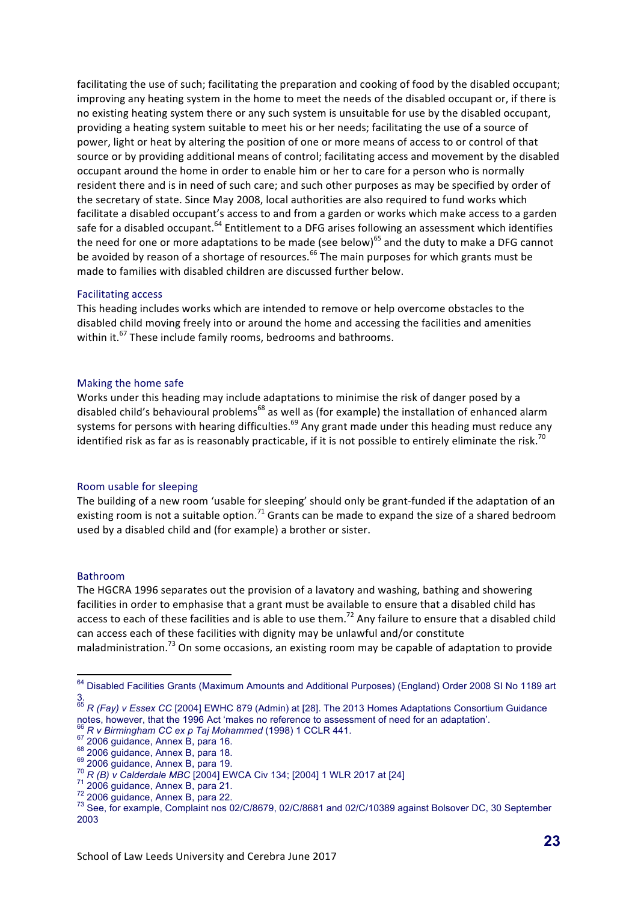facilitating the use of such; facilitating the preparation and cooking of food by the disabled occupant; improving any heating system in the home to meet the needs of the disabled occupant or, if there is no existing heating system there or any such system is unsuitable for use by the disabled occupant, providing a heating system suitable to meet his or her needs; facilitating the use of a source of power, light or heat by altering the position of one or more means of access to or control of that source or by providing additional means of control; facilitating access and movement by the disabled occupant around the home in order to enable him or her to care for a person who is normally resident there and is in need of such care; and such other purposes as may be specified by order of the secretary of state. Since May 2008, local authorities are also required to fund works which facilitate a disabled occupant's access to and from a garden or works which make access to a garden safe for a disabled occupant.<sup>64</sup> Entitlement to a DFG arises following an assessment which identifies the need for one or more adaptations to be made (see below)<sup>65</sup> and the duty to make a DFG cannot be avoided by reason of a shortage of resources.<sup>66</sup> The main purposes for which grants must be made to families with disabled children are discussed further below.

#### Facilitating access

This heading includes works which are intended to remove or help overcome obstacles to the disabled child moving freely into or around the home and accessing the facilities and amenities within it. $^{67}$  These include family rooms, bedrooms and bathrooms.

#### Making the home safe

Works under this heading may include adaptations to minimise the risk of danger posed by a disabled child's behavioural problems<sup>68</sup> as well as (for example) the installation of enhanced alarm systems for persons with hearing difficulties.<sup>69</sup> Any grant made under this heading must reduce any identified risk as far as is reasonably practicable, if it is not possible to entirely eliminate the risk.<sup>70</sup>

#### Room usable for sleeping

The building of a new room 'usable for sleeping' should only be grant-funded if the adaptation of an existing room is not a suitable option.<sup>71</sup> Grants can be made to expand the size of a shared bedroom used by a disabled child and (for example) a brother or sister.

#### Bathroom

The HGCRA 1996 separates out the provision of a lavatory and washing, bathing and showering facilities in order to emphasise that a grant must be available to ensure that a disabled child has access to each of these facilities and is able to use them.<sup>72</sup> Any failure to ensure that a disabled child can access each of these facilities with dignity may be unlawful and/or constitute maladministration.<sup>73</sup> On some occasions, an existing room may be capable of adaptation to provide

<sup>&</sup>lt;sup>64</sup> Disabled Facilities Grants (Maximum Amounts and Additional Purposes) (England) Order 2008 SI No 1189 art 3.

<sup>65</sup> *R (Fay) v Essex CC* [2004] EWHC 879 (Admin) at [28]. The 2013 Homes Adaptations Consortium Guidance notes, however, that the 1996 Act 'makes no reference to assessment of need for an adaptation'.

<sup>&</sup>lt;sup>66</sup> R v Birmingham CC ex p Taj Mohammed (1998) 1 CCLR 441.<br>
<sup>67</sup> 2006 guidance, Annex B, para 16.<br>
<sup>68</sup> 2006 guidance, Annex B, para 18.<br>
<sup>69</sup> 2006 guidance, Annex B, para 19.<br>
<sup>70</sup> R (B) v Calderdale MBC [2004] EWCA Civ 2003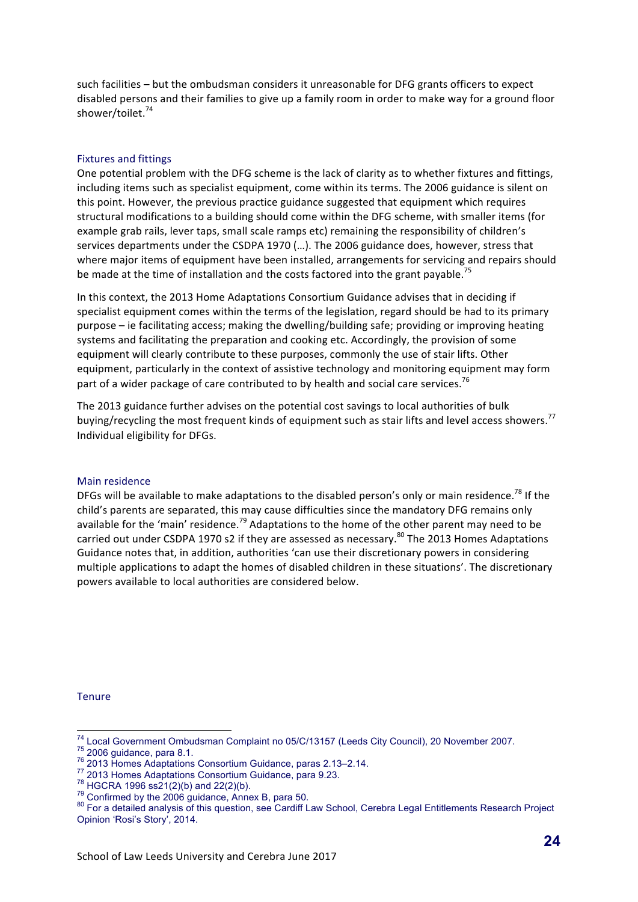such facilities – but the ombudsman considers it unreasonable for DFG grants officers to expect disabled persons and their families to give up a family room in order to make way for a ground floor shower/toilet.<sup>74</sup>

#### Fixtures and fittings

One potential problem with the DFG scheme is the lack of clarity as to whether fixtures and fittings, including items such as specialist equipment, come within its terms. The 2006 guidance is silent on this point. However, the previous practice guidance suggested that equipment which requires structural modifications to a building should come within the DFG scheme, with smaller items (for example grab rails, lever taps, small scale ramps etc) remaining the responsibility of children's services departments under the CSDPA 1970 (...). The 2006 guidance does, however, stress that where major items of equipment have been installed, arrangements for servicing and repairs should be made at the time of installation and the costs factored into the grant payable.<sup>75</sup>

In this context, the 2013 Home Adaptations Consortium Guidance advises that in deciding if specialist equipment comes within the terms of the legislation, regard should be had to its primary purpose – ie facilitating access; making the dwelling/building safe; providing or improving heating systems and facilitating the preparation and cooking etc. Accordingly, the provision of some equipment will clearly contribute to these purposes, commonly the use of stair lifts. Other equipment, particularly in the context of assistive technology and monitoring equipment may form part of a wider package of care contributed to by health and social care services.<sup>76</sup>

The 2013 guidance further advises on the potential cost savings to local authorities of bulk buying/recycling the most frequent kinds of equipment such as stair lifts and level access showers.<sup>77</sup> Individual eligibility for DFGs.

#### Main residence

DFGs will be available to make adaptations to the disabled person's only or main residence.<sup>78</sup> If the child's parents are separated, this may cause difficulties since the mandatory DFG remains only available for the 'main' residence.<sup>79</sup> Adaptations to the home of the other parent may need to be carried out under CSDPA 1970 s2 if they are assessed as necessary.<sup>80</sup> The 2013 Homes Adaptations Guidance notes that, in addition, authorities 'can use their discretionary powers in considering multiple applications to adapt the homes of disabled children in these situations'. The discretionary powers available to local authorities are considered below.

**Tenure** 

<sup>&</sup>lt;sup>74</sup> Local Government Ombudsman Complaint no 05/C/13157 (Leeds City Council), 20 November 2007.<br>
<sup>75</sup> 2006 guidance, para 8.1.<br>
<sup>76</sup> 2013 Homes Adaptations Consortium Guidance, paras 2.13–2.14.<br>
<sup>77</sup> 2013 Homes Adaptation Opinion 'Rosi's Story', 2014.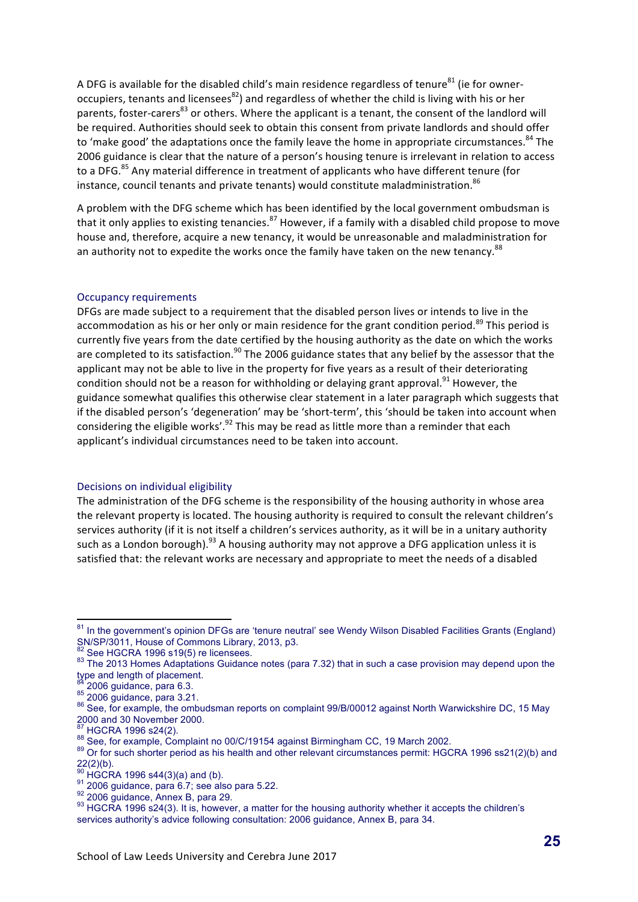A DFG is available for the disabled child's main residence regardless of tenure<sup>81</sup> (ie for owneroccupiers, tenants and licensees<sup>82</sup>) and regardless of whether the child is living with his or her parents, foster-carers<sup>83</sup> or others. Where the applicant is a tenant, the consent of the landlord will be required. Authorities should seek to obtain this consent from private landlords and should offer to 'make good' the adaptations once the family leave the home in appropriate circumstances.<sup>84</sup> The 2006 guidance is clear that the nature of a person's housing tenure is irrelevant in relation to access to a DFG.<sup>85</sup> Any material difference in treatment of applicants who have different tenure (for instance, council tenants and private tenants) would constitute maladministration.<sup>86</sup>

A problem with the DFG scheme which has been identified by the local government ombudsman is that it only applies to existing tenancies.<sup>87</sup> However, if a family with a disabled child propose to move house and, therefore, acquire a new tenancy, it would be unreasonable and maladministration for an authority not to expedite the works once the family have taken on the new tenancy.<sup>88</sup>

#### Occupancy requirements

DFGs are made subject to a requirement that the disabled person lives or intends to live in the accommodation as his or her only or main residence for the grant condition period.<sup>89</sup> This period is currently five years from the date certified by the housing authority as the date on which the works are completed to its satisfaction.<sup>90</sup> The 2006 guidance states that any belief by the assessor that the applicant may not be able to live in the property for five years as a result of their deteriorating condition should not be a reason for withholding or delaying grant approval.<sup>91</sup> However, the guidance somewhat qualifies this otherwise clear statement in a later paragraph which suggests that if the disabled person's 'degeneration' may be 'short-term', this 'should be taken into account when considering the eligible works'.<sup>92</sup> This may be read as little more than a reminder that each applicant's individual circumstances need to be taken into account.

#### Decisions on individual eligibility

The administration of the DFG scheme is the responsibility of the housing authority in whose area the relevant property is located. The housing authority is required to consult the relevant children's services authority (if it is not itself a children's services authority, as it will be in a unitary authority such as a London borough).<sup>93</sup> A housing authority may not approve a DFG application unless it is satisfied that: the relevant works are necessary and appropriate to meet the needs of a disabled

<sup>&</sup>lt;sup>81</sup> In the government's opinion DFGs are 'tenure neutral' see Wendy Wilson Disabled Facilities Grants (England) SN/SP/3011, House of Commons Library, 2013, p3.<br>
<sup>82</sup> See HGCRA 1996 s19(5) re licensees.

<sup>83</sup> The 2013 Homes Adaptations Guidance notes (para 7.32) that in such a case provision may depend upon the type and length of placement.<br> $84$  2006 guidance, para 6.3.

<sup>85 2006</sup> guidance, para 6.3.<br>85 2006 guidance, para 3.21.<br>86 See, for example, the ombudsman reports on complaint 99/B/00012 against North Warwickshire DC, 15 May 2000 and 30 November 2000.

<sup>&</sup>lt;sup>87</sup> HGCRA 1996 s24(2).<br><sup>88</sup> See, for example, Complaint no 00/C/19154 against Birmingham CC, 19 March 2002.<br><sup>89</sup> Or for such shorter period as his health and other relevant circumstances permit: HGCRA 1996 ss21(2)(b) and  $^{22}_{90}$ (2)(b).<br> $^{90}_{20}$  HGCRA 1996 s44(3)(a) and (b).

<sup>91 2006</sup> guidance, para 6.7; see also para 5.22.<br>
92 2006 guidance, Annex B, para 29.<br>
93 HGCRA 1996 s24(3). It is, however, a matter for the housing authority whether it accepts the children's services authority's advice following consultation: 2006 guidance, Annex B, para 34.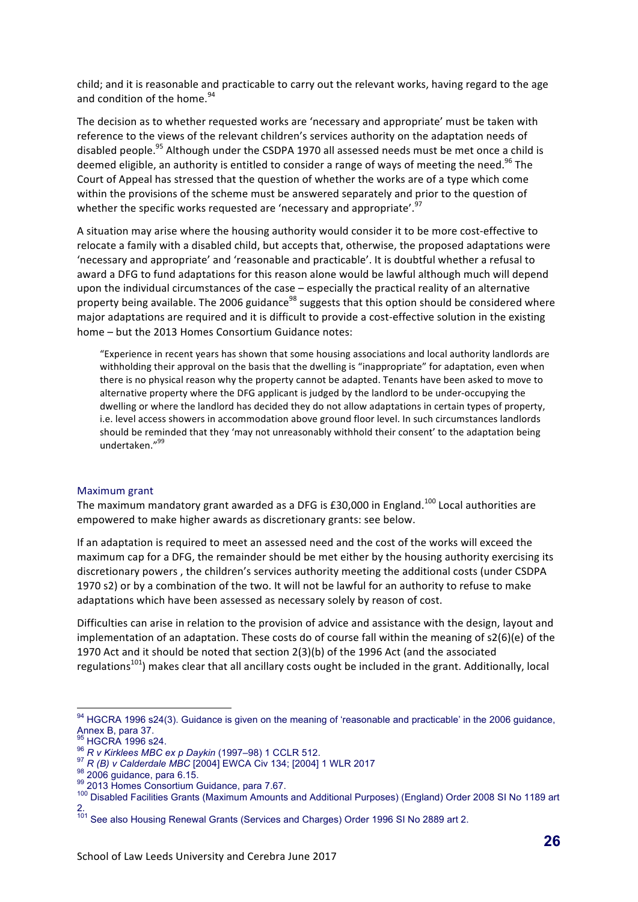child; and it is reasonable and practicable to carry out the relevant works, having regard to the age and condition of the home. $94$ 

The decision as to whether requested works are 'necessary and appropriate' must be taken with reference to the views of the relevant children's services authority on the adaptation needs of disabled people.<sup>95</sup> Although under the CSDPA 1970 all assessed needs must be met once a child is deemed eligible, an authority is entitled to consider a range of ways of meeting the need.<sup>96</sup> The Court of Appeal has stressed that the question of whether the works are of a type which come within the provisions of the scheme must be answered separately and prior to the question of whether the specific works requested are 'necessary and appropriate'.<sup>97</sup>

A situation may arise where the housing authority would consider it to be more cost-effective to relocate a family with a disabled child, but accepts that, otherwise, the proposed adaptations were 'necessary and appropriate' and 'reasonable and practicable'. It is doubtful whether a refusal to award a DFG to fund adaptations for this reason alone would be lawful although much will depend upon the individual circumstances of the case – especially the practical reality of an alternative property being available. The 2006 guidance<sup>98</sup> suggests that this option should be considered where major adaptations are required and it is difficult to provide a cost-effective solution in the existing home - but the 2013 Homes Consortium Guidance notes:

"Experience in recent years has shown that some housing associations and local authority landlords are withholding their approval on the basis that the dwelling is "inappropriate" for adaptation, even when there is no physical reason why the property cannot be adapted. Tenants have been asked to move to alternative property where the DFG applicant is judged by the landlord to be under-occupying the dwelling or where the landlord has decided they do not allow adaptations in certain types of property, i.e. level access showers in accommodation above ground floor level. In such circumstances landlords should be reminded that they 'may not unreasonably withhold their consent' to the adaptation being undertaken."<sup>99</sup>

#### Maximum grant

The maximum mandatory grant awarded as a DFG is £30,000 in England.<sup>100</sup> Local authorities are empowered to make higher awards as discretionary grants: see below.

If an adaptation is required to meet an assessed need and the cost of the works will exceed the maximum cap for a DFG, the remainder should be met either by the housing authority exercising its discretionary powers, the children's services authority meeting the additional costs (under CSDPA 1970 s2) or by a combination of the two. It will not be lawful for an authority to refuse to make adaptations which have been assessed as necessary solely by reason of cost.

Difficulties can arise in relation to the provision of advice and assistance with the design, layout and implementation of an adaptation. These costs do of course fall within the meaning of  $s2(6)(e)$  of the 1970 Act and it should be noted that section  $2(3)(b)$  of the 1996 Act (and the associated regulations<sup>101</sup>) makes clear that all ancillary costs ought be included in the grant. Additionally, local

<sup>94</sup> HGCRA 1996 s24(3). Guidance is given on the meaning of 'reasonable and practicable' in the 2006 guidance, Annex B, para 37.<br> $^{95}$  HGCRA 1996 s24.

<sup>&</sup>lt;sup>96</sup> R v Kirklees MBC ex p Daykin (1997–98) 1 CCLR 512.<br><sup>97</sup> R (B) v Calderdale MBC [2004] EWCA Civ 134; [2004] 1 WLR 2017<br><sup>97</sup> R (B) v Calderdale MBC [2004] EWCA Civ 134; [2004] 1 WLR 2017<br><sup>98</sup> 2006 guidance, para 6.15.<br><sup></sup> 2.

<sup>&</sup>lt;sup>101</sup> See also Housing Renewal Grants (Services and Charges) Order 1996 SI No 2889 art 2.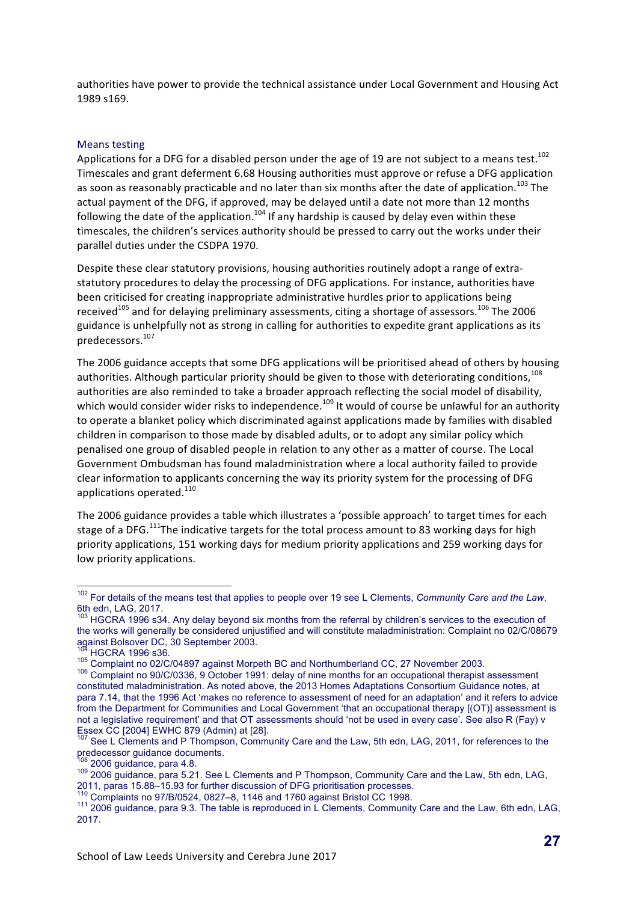authorities have power to provide the technical assistance under Local Government and Housing Act 1989 s169. 

#### Means testing

Applications for a DFG for a disabled person under the age of 19 are not subject to a means test.<sup>102</sup> Timescales and grant deferment 6.68 Housing authorities must approve or refuse a DFG application as soon as reasonably practicable and no later than six months after the date of application.<sup>103</sup> The actual payment of the DFG, if approved, may be delayed until a date not more than 12 months following the date of the application.<sup>104</sup> If any hardship is caused by delay even within these timescales, the children's services authority should be pressed to carry out the works under their parallel duties under the CSDPA 1970.

Despite these clear statutory provisions, housing authorities routinely adopt a range of extrastatutory procedures to delay the processing of DFG applications. For instance, authorities have been criticised for creating inappropriate administrative hurdles prior to applications being received<sup>105</sup> and for delaying preliminary assessments, citing a shortage of assessors.<sup>106</sup> The 2006 guidance is unhelpfully not as strong in calling for authorities to expedite grant applications as its predecessors.107

The 2006 guidance accepts that some DFG applications will be prioritised ahead of others by housing authorities. Although particular priority should be given to those with deteriorating conditions,<sup>108</sup> authorities are also reminded to take a broader approach reflecting the social model of disability, which would consider wider risks to independence.<sup>109</sup> It would of course be unlawful for an authority to operate a blanket policy which discriminated against applications made by families with disabled children in comparison to those made by disabled adults, or to adopt any similar policy which penalised one group of disabled people in relation to any other as a matter of course. The Local Government Ombudsman has found maladministration where a local authority failed to provide clear information to applicants concerning the way its priority system for the processing of DFG applications operated.<sup>110</sup>

The 2006 guidance provides a table which illustrates a 'possible approach' to target times for each stage of a DFG.<sup>111</sup>The indicative targets for the total process amount to 83 working days for high priority applications, 151 working days for medium priority applications and 259 working days for low priority applications.

 <sup>102</sup> For details of the means test that applies to people over 19 see L Clements, *Community Care and the Law*, 6th edn, LAG, 2017.

<sup>&</sup>lt;sup>103</sup> HGCRA 1996 s34. Any delay beyond six months from the referral by children's services to the execution of the works will generally be considered unjustified and will constitute maladministration: Complaint no 02/C/08679 against Bolsover DC, 30 September 2003.

<sup>104</sup> HGCRA 1996 s36. <sup>105</sup> Complaint no 02/C/04897 against Morpeth BC and Northumberland CC, 27 November 2003. <sup>106</sup> Complaint no 90/C/0336, 9 October 1991: delay of nine months for an occupational therapist assessment constituted maladministration. As noted above, the 2013 Homes Adaptations Consortium Guidance notes, at para 7.14, that the 1996 Act 'makes no reference to assessment of need for an adaptation' and it refers to advice from the Department for Communities and Local Government 'that an occupational therapy [(OT)] assessment is not a legislative requirement' and that OT assessments should 'not be used in every case'. See also R (Fay) v Essex CC [2004] EWHC 879 (Admin) at [28].

<sup>&</sup>lt;sup>107</sup> See L Clements and P Thompson, Community Care and the Law, 5th edn, LAG, 2011, for references to the predecessor guidance documents.

 $108$  2006 guidance, para 4.8.<br> $109$  2006 guidance, para 5.21. See L Clements and P Thompson, Community Care and the Law, 5th edn, LAG, <br>2011, paras 15.88–15.93 for further discussion of DFG prioritisation processes.

 $^{110}$  Complaints no 97/B/0524, 0827–8, 1146 and 1760 against Bristol CC 1998.<br> $^{111}$  2006 guidance, para 9.3. The table is reproduced in L Clements, Community Care and the Law, 6th edn, LAG, 2017.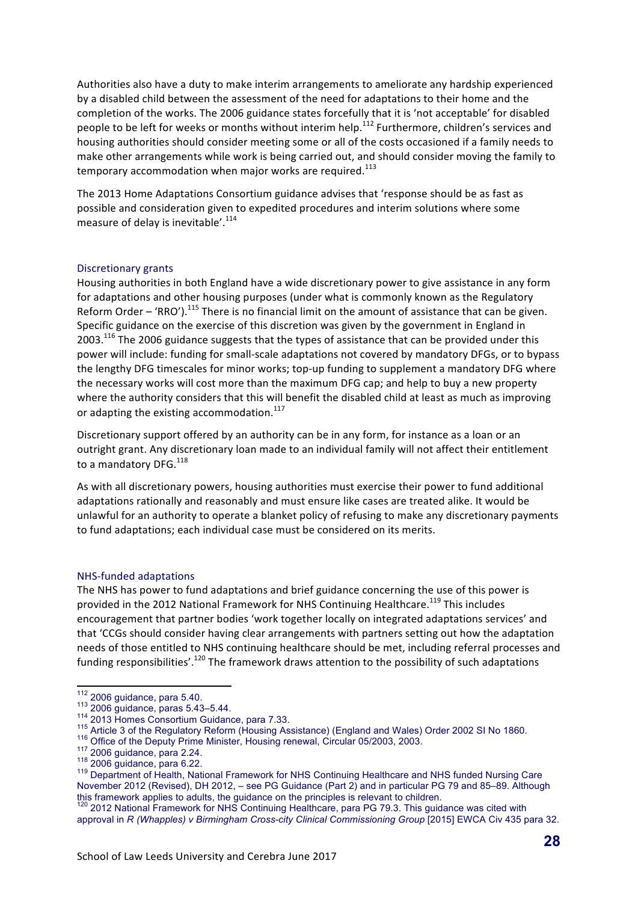Authorities also have a duty to make interim arrangements to ameliorate any hardship experienced by a disabled child between the assessment of the need for adaptations to their home and the completion of the works. The 2006 guidance states forcefully that it is 'not acceptable' for disabled people to be left for weeks or months without interim help.<sup>112</sup> Furthermore, children's services and housing authorities should consider meeting some or all of the costs occasioned if a family needs to make other arrangements while work is being carried out, and should consider moving the family to temporary accommodation when major works are required. $^{113}$ 

The 2013 Home Adaptations Consortium guidance advises that 'response should be as fast as possible and consideration given to expedited procedures and interim solutions where some measure of delay is inevitable'.<sup>114</sup>

#### Discretionary grants

Housing authorities in both England have a wide discretionary power to give assistance in any form for adaptations and other housing purposes (under what is commonly known as the Regulatory Reform Order – 'RRO').<sup>115</sup> There is no financial limit on the amount of assistance that can be given. Specific guidance on the exercise of this discretion was given by the government in England in  $2003$ .<sup>116</sup> The 2006 guidance suggests that the types of assistance that can be provided under this power will include: funding for small-scale adaptations not covered by mandatory DFGs, or to bypass the lengthy DFG timescales for minor works; top-up funding to supplement a mandatory DFG where the necessary works will cost more than the maximum DFG cap; and help to buy a new property where the authority considers that this will benefit the disabled child at least as much as improving or adapting the existing accommodation.<sup>117</sup>

Discretionary support offered by an authority can be in any form, for instance as a loan or an outright grant. Any discretionary loan made to an individual family will not affect their entitlement to a mandatory DFG.<sup>118</sup>

As with all discretionary powers, housing authorities must exercise their power to fund additional adaptations rationally and reasonably and must ensure like cases are treated alike. It would be unlawful for an authority to operate a blanket policy of refusing to make any discretionary payments to fund adaptations; each individual case must be considered on its merits.

#### NHS-funded adaptations

The NHS has power to fund adaptations and brief guidance concerning the use of this power is provided in the 2012 National Framework for NHS Continuing Healthcare.<sup>119</sup> This includes encouragement that partner bodies 'work together locally on integrated adaptations services' and that 'CCGs should consider having clear arrangements with partners setting out how the adaptation needs of those entitled to NHS continuing healthcare should be met, including referral processes and funding responsibilities'.<sup>120</sup> The framework draws attention to the possibility of such adaptations

<sup>&</sup>lt;sup>112</sup> 2006 guidance, para 5.40.<br>
<sup>113</sup> 2006 guidance, paras 5.43–5.44.<br>
<sup>114</sup> 2013 Homes Consortium Guidance, para 7.33.<br>
<sup>115</sup> Article 3 of the Regulatory Reform (Housing Assistance) (England and Wales) Order 2002 SI No November 2012 (Revised), DH 2012, – see PG Guidance (Part 2) and in particular PG 79 and 85–89. Although this framework applies to adults, the guidance on the principles is relevant to children.<br><sup>120</sup> 2012 National Framework for NHS Continuing Healthcare, para PG 79.3. This guidance was cited with

approval in *R (Whapples) v Birmingham Cross-city Clinical Commissioning Group* [2015] EWCA Civ 435 para 32.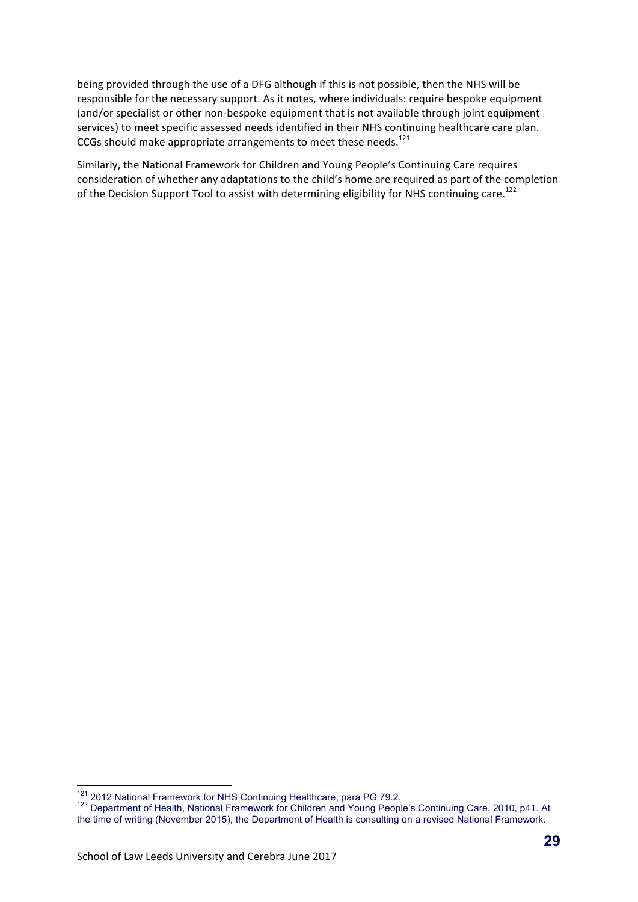being provided through the use of a DFG although if this is not possible, then the NHS will be responsible for the necessary support. As it notes, where individuals: require bespoke equipment (and/or specialist or other non-bespoke equipment that is not available through joint equipment services) to meet specific assessed needs identified in their NHS continuing healthcare care plan. CCGs should make appropriate arrangements to meet these needs.<sup>121</sup>

Similarly, the National Framework for Children and Young People's Continuing Care requires consideration of whether any adaptations to the child's home are required as part of the completion of the Decision Support Tool to assist with determining eligibility for NHS continuing care.<sup>122</sup>

<sup>&</sup>lt;sup>121</sup> 2012 National Framework for NHS Continuing Healthcare, para PG 79.2.<br><sup>122</sup> Department of Health, National Framework for Children and Young People's Continuing Care, 2010, p41. At the time of writing (November 2015), the Department of Health is consulting on a revised National Framework.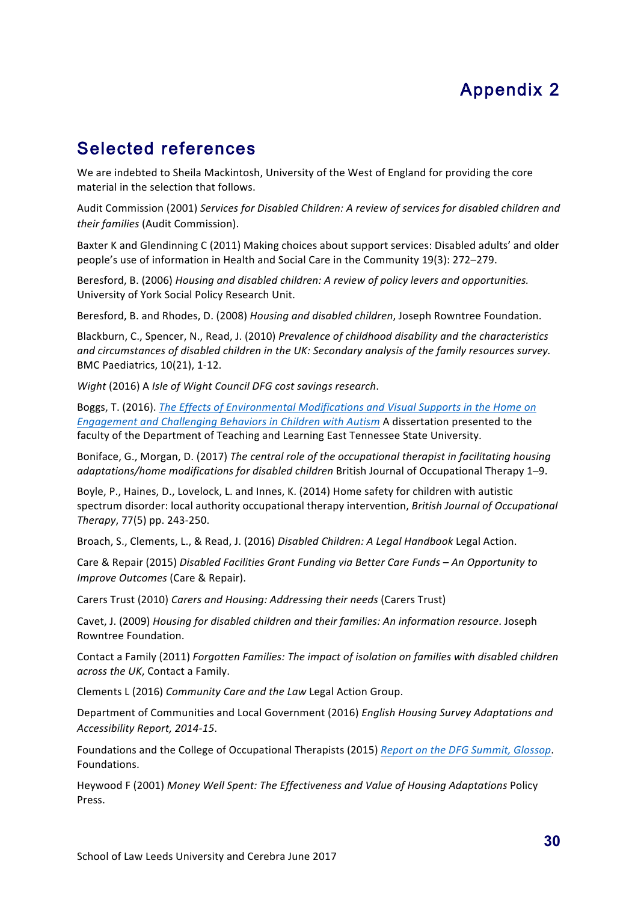# Appendix 2

# Selected references

We are indebted to Sheila Mackintosh, University of the West of England for providing the core material in the selection that follows.

Audit Commission (2001) Services for Disabled Children: A review of services for disabled children and *their families* (Audit Commission).

Baxter K and Glendinning C (2011) Making choices about support services: Disabled adults' and older people's use of information in Health and Social Care in the Community 19(3): 272–279.

Beresford, B. (2006) *Housing and disabled children: A review of policy levers and opportunities.* University of York Social Policy Research Unit.

Beresford, B. and Rhodes, D. (2008) *Housing and disabled children*, Joseph Rowntree Foundation.

Blackburn, C., Spencer, N., Read, J. (2010) *Prevalence of childhood disability and the characteristics* and circumstances of disabled children in the UK: Secondary analysis of the family resources survey. BMC Paediatrics, 10(21), 1-12.

*Wight* (2016) A *Isle of Wight Council DFG cost savings research.* 

Boggs, T. (2016). *The Effects of Environmental Modifications and Visual Supports in the Home on Engagement and Challenging Behaviors in Children with Autism* A dissertation presented to the faculty of the Department of Teaching and Learning East Tennessee State University.

Boniface, G., Morgan, D. (2017) *The central role of the occupational therapist in facilitating housing adaptations/home modifications for disabled children* British Journal of Occupational Therapy 1–9.

Boyle, P., Haines, D., Lovelock, L. and Innes, K. (2014) Home safety for children with autistic spectrum disorder: local authority occupational therapy intervention, *British Journal of Occupational Therapy*, 77(5) pp. 243-250.

Broach, S., Clements, L., & Read, J. (2016) *Disabled Children: A Legal Handbook* Legal Action.

Care & Repair (2015) *Disabled Facilities Grant Funding via Better Care Funds – An Opportunity to Improve Outcomes (Care & Repair).* 

Carers Trust (2010) Carers and Housing: Addressing their needs (Carers Trust)

Cavet, J. (2009) *Housing for disabled children and their families: An information resource*. Joseph Rowntree Foundation.

Contact a Family (2011) *Forgotten Families: The impact of isolation on families with disabled children* across the UK, Contact a Family.

Clements L (2016) Community Care and the Law Legal Action Group.

Department of Communities and Local Government (2016) *English Housing Survey Adaptations and Accessibility Report, 2014-15*.

Foundations and the College of Occupational Therapists (2015) *Report on the DFG Summit, Glossop*. Foundations. 

Heywood F (2001) Money Well Spent: The Effectiveness and Value of Housing Adaptations Policy Press.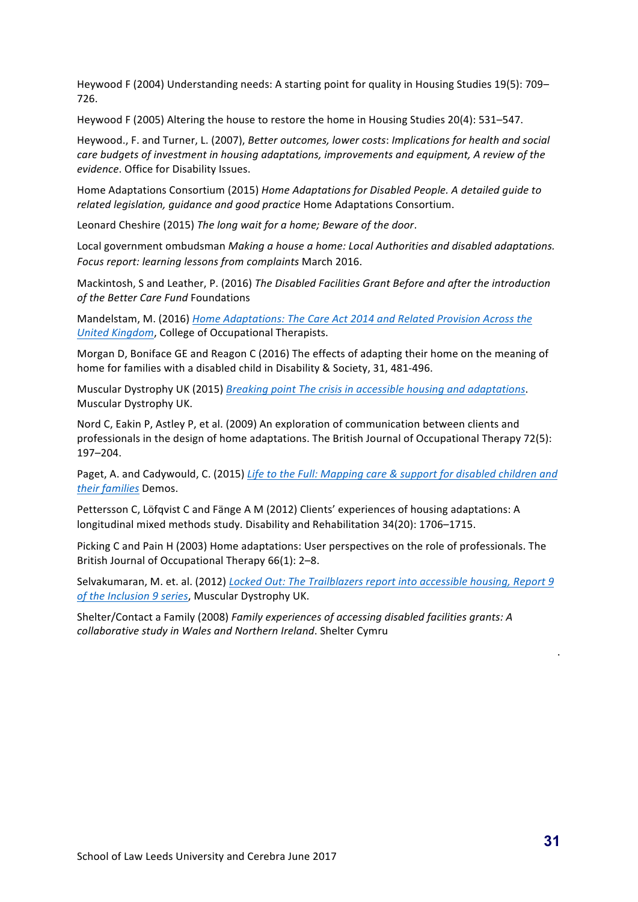Heywood F (2004) Understanding needs: A starting point for quality in Housing Studies 19(5): 709– 726.

Heywood F (2005) Altering the house to restore the home in Housing Studies 20(4):  $531-547$ .

Heywood., F. and Turner, L. (2007), *Better outcomes, lower costs: Implications for health and social care budgets of investment in housing adaptations, improvements and equipment, A review of the evidence*. Office for Disability Issues.

Home Adaptations Consortium (2015) Home Adaptations for Disabled People. A detailed guide to related legislation, guidance and good practice Home Adaptations Consortium.

Leonard Cheshire (2015) The long wait for a home; Beware of the door.

Local government ombudsman *Making a house a home: Local Authorities and disabled adaptations. Focus report: learning lessons from complaints* March 2016.

Mackintosh, S and Leather, P. (2016) The Disabled Facilities Grant Before and after the introduction of the Better Care Fund Foundations

Mandelstam, M. (2016) *Home Adaptations: The Care Act 2014 and Related Provision Across the United Kingdom*, College of Occupational Therapists.

Morgan D, Boniface GE and Reagon C (2016) The effects of adapting their home on the meaning of home for families with a disabled child in Disability & Society, 31, 481-496.

Muscular Dystrophy UK (2015) *Breaking point The crisis in accessible housing and adaptations.* Muscular Dystrophy UK.

Nord C, Eakin P, Astley P, et al. (2009) An exploration of communication between clients and professionals in the design of home adaptations. The British Journal of Occupational Therapy 72(5): 197–204.

Paget, A. and Cadywould, C. (2015) Life to the Full: Mapping care & support for disabled children and *their families* Demos. 

Pettersson C, Löfqvist C and Fänge A M (2012) Clients' experiences of housing adaptations: A longitudinal mixed methods study. Disability and Rehabilitation 34(20): 1706-1715.

Picking C and Pain H (2003) Home adaptations: User perspectives on the role of professionals. The British Journal of Occupational Therapy 66(1): 2-8.

Selvakumaran, M. et. al. (2012) *Locked Out: The Trailblazers report into accessible housing, Report 9* of the Inclusion 9 series, Muscular Dystrophy UK.

Shelter/Contact a Family (2008) Family experiences of accessing disabled facilities grants: A *collaborative study in Wales and Northern Ireland.* Shelter Cymru

.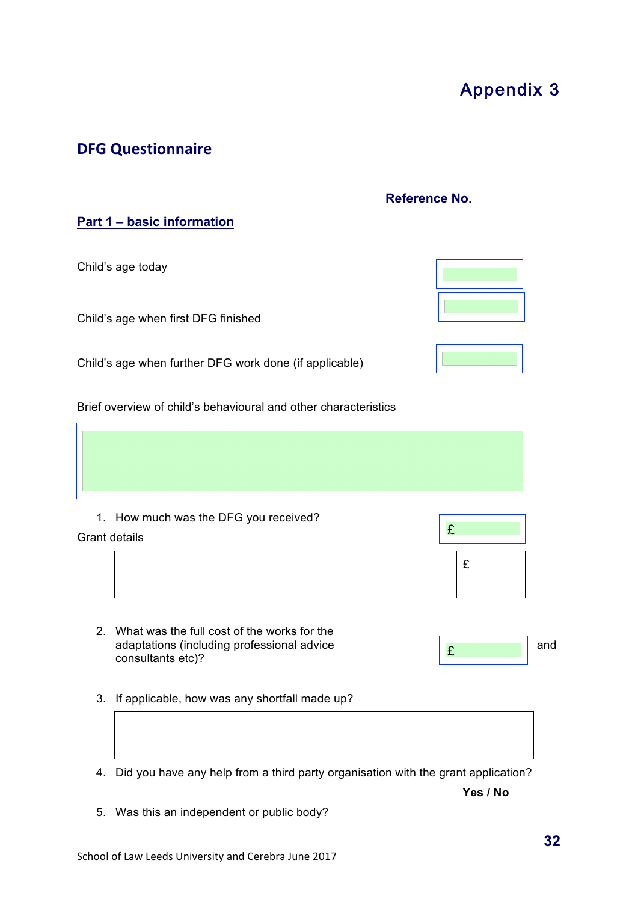5. Was this an independent or public body?

# **DFG Questionnaire**

# **Reference No.**

**Part 1 – basic information**

Child's age today

Child's age when first DFG finished

Child's age when further DFG work done (if applicable)

Brief overview of child's behavioural and other characteristics

| 1. How much was the DFG you received?<br>Grant details | £ |
|--------------------------------------------------------|---|

- 2. What was the full cost of the works for the adaptations (including professional advice and consultants etc)?
- 3. If applicable, how was any shortfall made up?
- 4. Did you have any help from a third party organisation with the grant application?

**Yes / No**

£

£

- 
- 



Appendix 3

**32**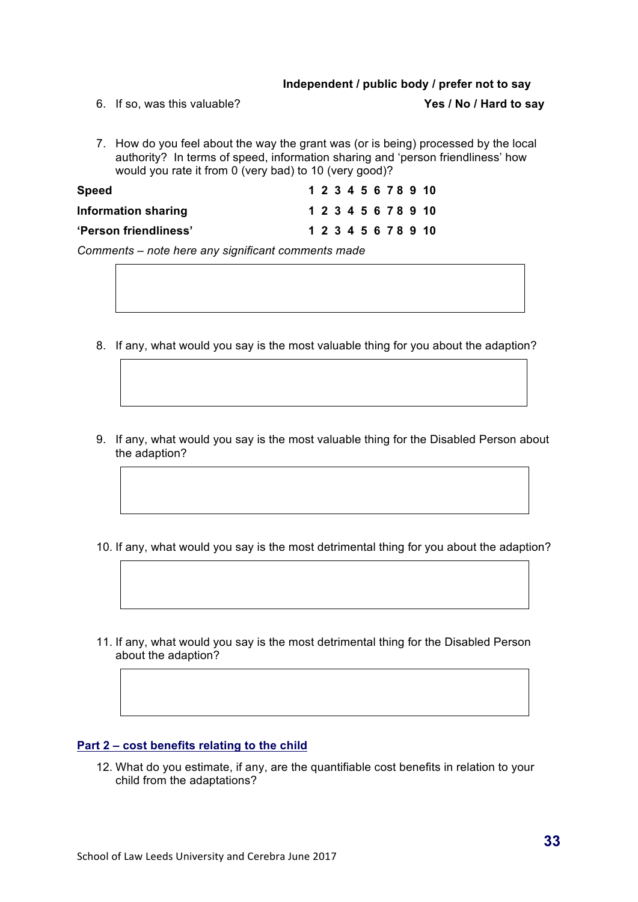#### **Independent / public body / prefer not to say**

6. If so, was this valuable? **Yes / No / Hard to say**

7. How do you feel about the way the grant was (or is being) processed by the local authority? In terms of speed, information sharing and 'person friendliness' how would you rate it from 0 (very bad) to 10 (very good)?

| <b>Speed</b>          |  |  |  |  | 1 2 3 4 5 6 7 8 9 10 |
|-----------------------|--|--|--|--|----------------------|
| Information sharing   |  |  |  |  | 1 2 3 4 5 6 7 8 9 10 |
| 'Person friendliness' |  |  |  |  | 1 2 3 4 5 6 7 8 9 10 |

*Comments – note here any significant comments made* 

- 8. If any, what would you say is the most valuable thing for you about the adaption?
- 9. If any, what would you say is the most valuable thing for the Disabled Person about the adaption?
- 10. If any, what would you say is the most detrimental thing for you about the adaption?
- 11. If any, what would you say is the most detrimental thing for the Disabled Person about the adaption?

#### **Part 2 – cost benefits relating to the child**

12. What do you estimate, if any, are the quantifiable cost benefits in relation to your child from the adaptations?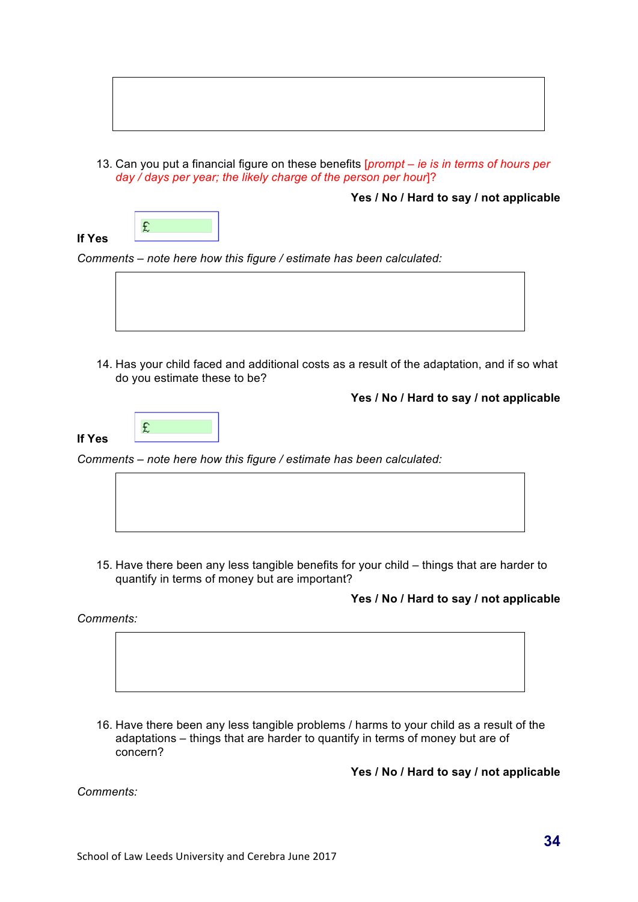

13. Can you put a financial figure on these benefits [*prompt – ie is in terms of hours per day / days per year; the likely charge of the person per hour*]?

**Yes / No / Hard to say / not applicable**

**If Yes**

*Comments – note here how this figure / estimate has been calculated:* 



14. Has your child faced and additional costs as a result of the adaptation, and if so what do you estimate these to be?

**Yes / No / Hard to say / not applicable**



£

*Comments – note here how this figure / estimate has been calculated:* 



15. Have there been any less tangible benefits for your child – things that are harder to quantify in terms of money but are important?

## **Yes / No / Hard to say / not applicable**

*Comments:* 



16. Have there been any less tangible problems / harms to your child as a result of the adaptations – things that are harder to quantify in terms of money but are of concern?

**Yes / No / Hard to say / not applicable**

*Comments:*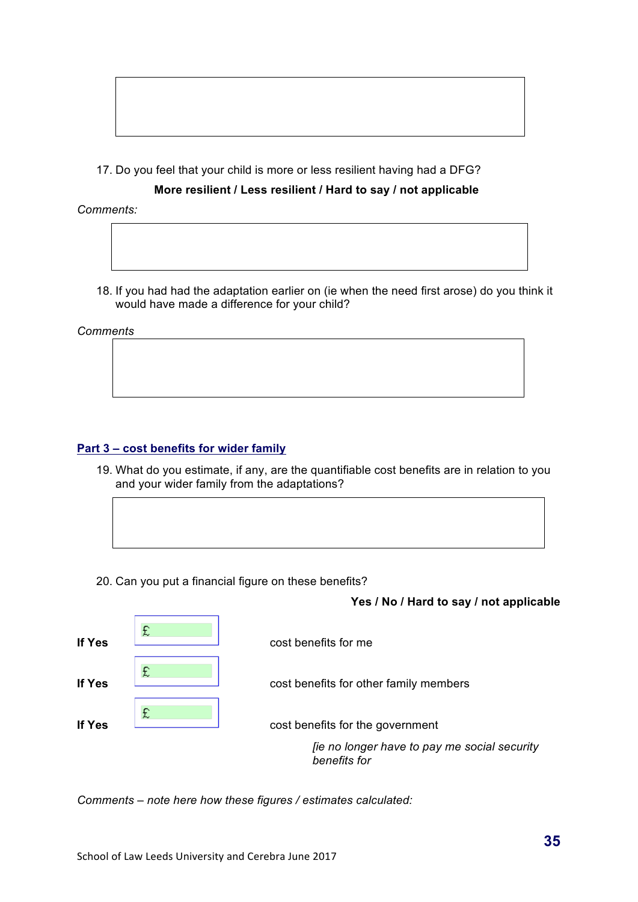

17. Do you feel that your child is more or less resilient having had a DFG?

### **More resilient / Less resilient / Hard to say / not applicable**

*Comments:*

18. If you had had the adaptation earlier on (ie when the need first arose) do you think it would have made a difference for your child?

*Comments*

### **Part 3 – cost benefits for wider family**

- 19. What do you estimate, if any, are the quantifiable cost benefits are in relation to you and your wider family from the adaptations?
- 20. Can you put a financial figure on these benefits?

### **Yes / No / Hard to say / not applicable**



*Comments – note here how these figures / estimates calculated:*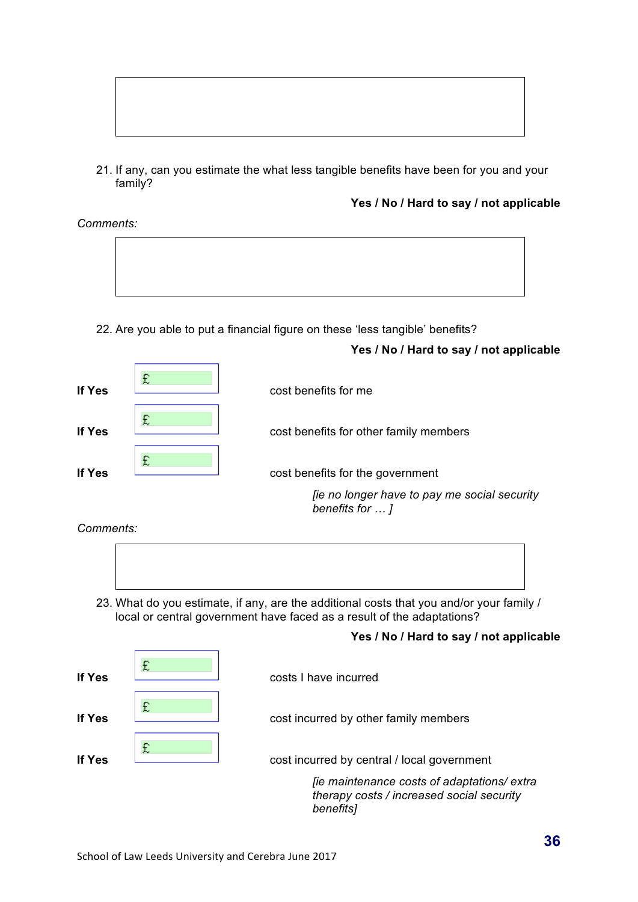

21. If any, can you estimate the what less tangible benefits have been for you and your family?

**Yes / No / Hard to say / not applicable**

*Comments:* 



22. Are you able to put a financial figure on these 'less tangible' benefits?

## **Yes / No / Hard to say / not applicable**



*Comments:* 



23. What do you estimate, if any, are the additional costs that you and/or your family / local or central government have faced as a result of the adaptations?

## **Yes / No / Hard to say / not applicable**

| If Yes        | £ | costs I have incurred                                                                                 |
|---------------|---|-------------------------------------------------------------------------------------------------------|
| If Yes        | £ | cost incurred by other family members                                                                 |
| <b>If Yes</b> | £ | cost incurred by central / local government                                                           |
|               |   | [ie maintenance costs of adaptations/ extra<br>therapy costs / increased social security<br>benefits] |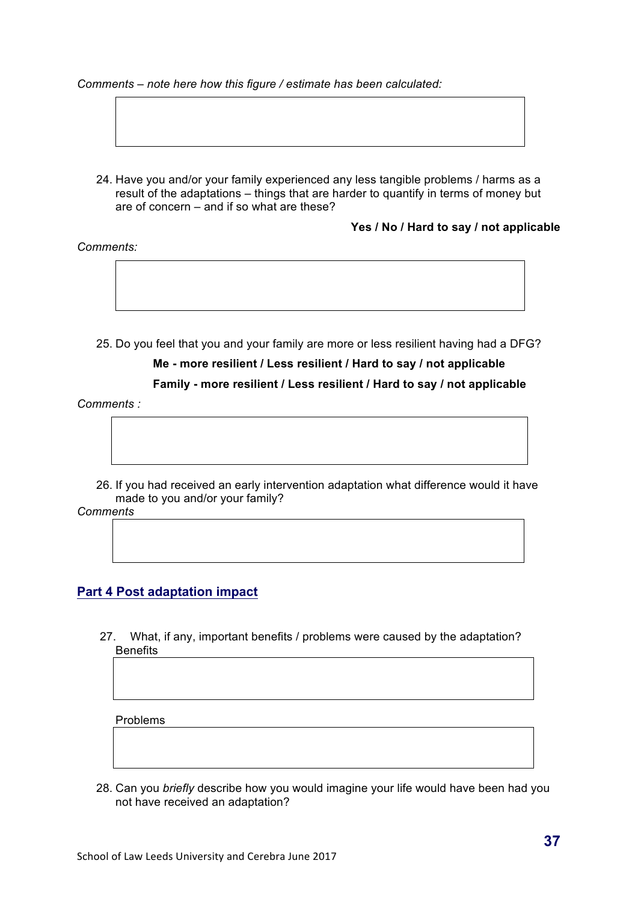#### *Comments – note here how this figure / estimate has been calculated:*

- 
- 24. Have you and/or your family experienced any less tangible problems / harms as a result of the adaptations – things that are harder to quantify in terms of money but are of concern – and if so what are these?

**Yes / No / Hard to say / not applicable**

*Comments:* 

25. Do you feel that you and your family are more or less resilient having had a DFG?

# **Me - more resilient / Less resilient / Hard to say / not applicable**

**Family - more resilient / Less resilient / Hard to say / not applicable**

*Comments :*

26. If you had received an early intervention adaptation what difference would it have made to you and/or your family?

*Comments*

## **Part 4 Post adaptation impact**

27. What, if any, important benefits / problems were caused by the adaptation? Benefits

Problems

28. Can you *briefly* describe how you would imagine your life would have been had you not have received an adaptation?